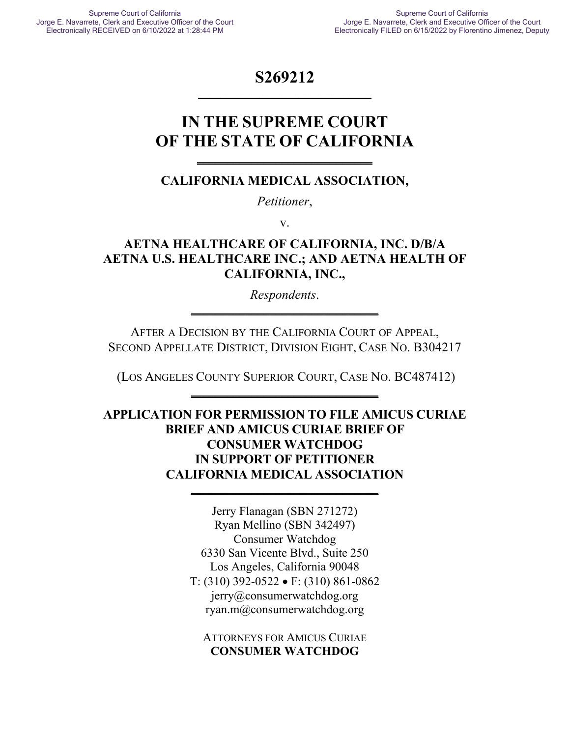## **S269212 \_\_\_\_\_\_\_\_\_\_\_\_\_\_\_\_\_\_\_\_\_\_\_\_\_\_\_\_\_\_\_**

# **IN THE SUPREME COURT OF THE STATE OF CALIFORNIA**

**\_\_\_\_\_\_\_\_\_\_\_\_\_\_\_\_\_\_\_\_\_\_\_\_\_\_\_\_\_**

## **CALIFORNIA MEDICAL ASSOCIATION,**

*Petitioner*,

v.

## **AETNA HEALTHCARE OF CALIFORNIA, INC. D/B/A AETNA U.S. HEALTHCARE INC.; AND AETNA HEALTH OF CALIFORNIA, INC.,**

*Respondents*. **\_\_\_\_\_\_\_\_\_\_\_\_\_\_\_\_\_\_\_\_\_\_\_\_\_\_\_\_\_\_\_**

AFTER A DECISION BY THE CALIFORNIA COURT OF APPEAL, SECOND APPELLATE DISTRICT, DIVISION EIGHT, CASE NO. B304217

(LOS ANGELES COUNTY SUPERIOR COURT, CASE NO. BC487412) **\_\_\_\_\_\_\_\_\_\_\_\_\_\_\_\_\_\_\_\_\_\_\_\_\_\_\_\_\_\_\_**

**APPLICATION FOR PERMISSION TO FILE AMICUS CURIAE BRIEF AND AMICUS CURIAE BRIEF OF CONSUMER WATCHDOG IN SUPPORT OF PETITIONER CALIFORNIA MEDICAL ASSOCIATION**

**\_\_\_\_\_\_\_\_\_\_\_\_\_\_\_\_\_\_\_\_\_\_\_\_\_\_\_\_\_\_\_**

Jerry Flanagan (SBN 271272) Ryan Mellino (SBN 342497) Consumer Watchdog 6330 San Vicente Blvd., Suite 250 Los Angeles, California 90048 T: (310) 392-0522 • F: (310) 861-0862 jerry@consumerwatchdog.org ryan.m@consumerwatchdog.org

ATTORNEYS FOR AMICUS CURIAE **CONSUMER WATCHDOG**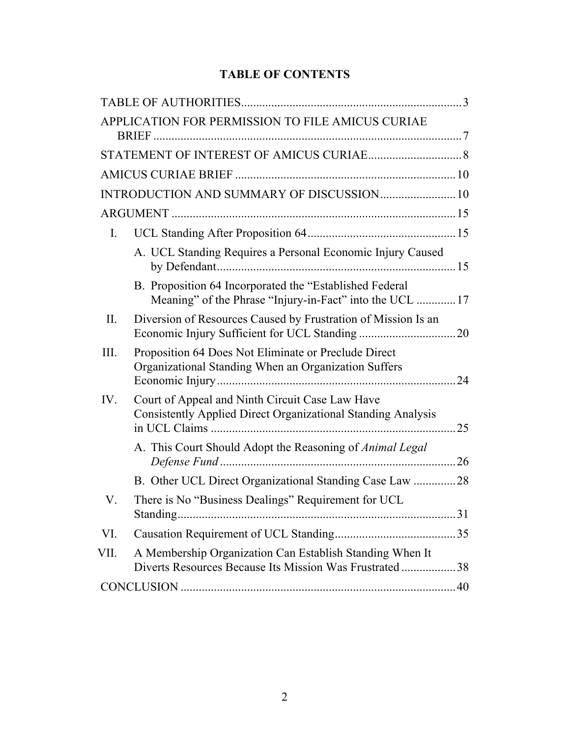## **TABLE OF CONTENTS**

|      | APPLICATION FOR PERMISSION TO FILE AMICUS CURIAE                                                                    |    |
|------|---------------------------------------------------------------------------------------------------------------------|----|
|      |                                                                                                                     |    |
|      |                                                                                                                     |    |
|      | INTRODUCTION AND SUMMARY OF DISCUSSION 10                                                                           |    |
|      |                                                                                                                     |    |
| Ι.   |                                                                                                                     |    |
|      | A. UCL Standing Requires a Personal Economic Injury Caused                                                          |    |
|      | B. Proposition 64 Incorporated the "Established Federal<br>Meaning" of the Phrase "Injury-in-Fact" into the UCL  17 |    |
| II.  | Diversion of Resources Caused by Frustration of Mission Is an                                                       |    |
| III. | Proposition 64 Does Not Eliminate or Preclude Direct<br>Organizational Standing When an Organization Suffers        | 24 |
| IV.  | Court of Appeal and Ninth Circuit Case Law Have<br>Consistently Applied Direct Organizational Standing Analysis     | 25 |
|      | A. This Court Should Adopt the Reasoning of Animal Legal                                                            |    |
|      | B. Other UCL Direct Organizational Standing Case Law 28                                                             |    |
| V.   | There is No "Business Dealings" Requirement for UCL                                                                 |    |
| VI.  |                                                                                                                     |    |
| VII. | A Membership Organization Can Establish Standing When It<br>Diverts Resources Because Its Mission Was Frustrated38  |    |
|      |                                                                                                                     |    |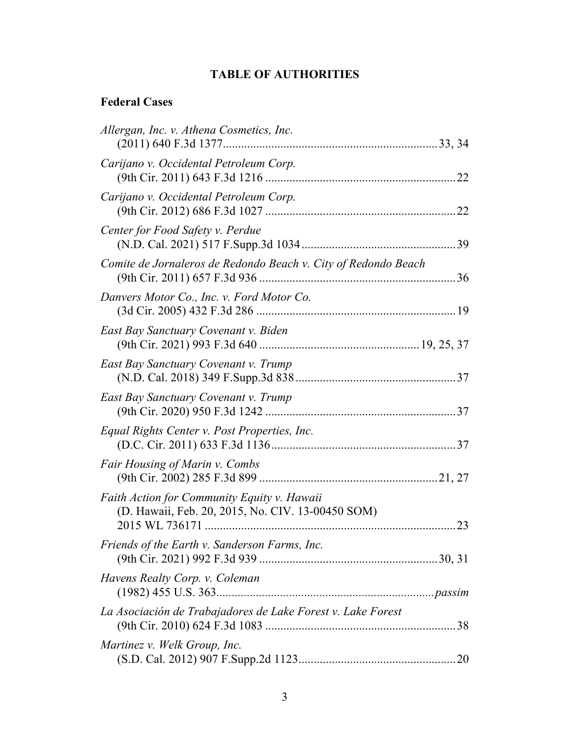## **TABLE OF AUTHORITIES**

## **Federal Cases**

| Allergan, Inc. v. Athena Cosmetics, Inc.                                                         |
|--------------------------------------------------------------------------------------------------|
| Carijano v. Occidental Petroleum Corp.                                                           |
| Carijano v. Occidental Petroleum Corp.                                                           |
| Center for Food Safety v. Perdue                                                                 |
| Comite de Jornaleros de Redondo Beach v. City of Redondo Beach                                   |
| Danvers Motor Co., Inc. v. Ford Motor Co.                                                        |
| East Bay Sanctuary Covenant v. Biden                                                             |
| East Bay Sanctuary Covenant v. Trump                                                             |
| East Bay Sanctuary Covenant v. Trump                                                             |
| Equal Rights Center v. Post Properties, Inc.                                                     |
| Fair Housing of Marin v. Combs                                                                   |
| Faith Action for Community Equity v. Hawaii<br>(D. Hawaii, Feb. 20, 2015, No. CIV. 13-00450 SOM) |
| Friends of the Earth v. Sanderson Farms, Inc.                                                    |
| Havens Realty Corp. v. Coleman                                                                   |
| La Asociación de Trabajadores de Lake Forest v. Lake Forest                                      |
| Martinez v. Welk Group, Inc.                                                                     |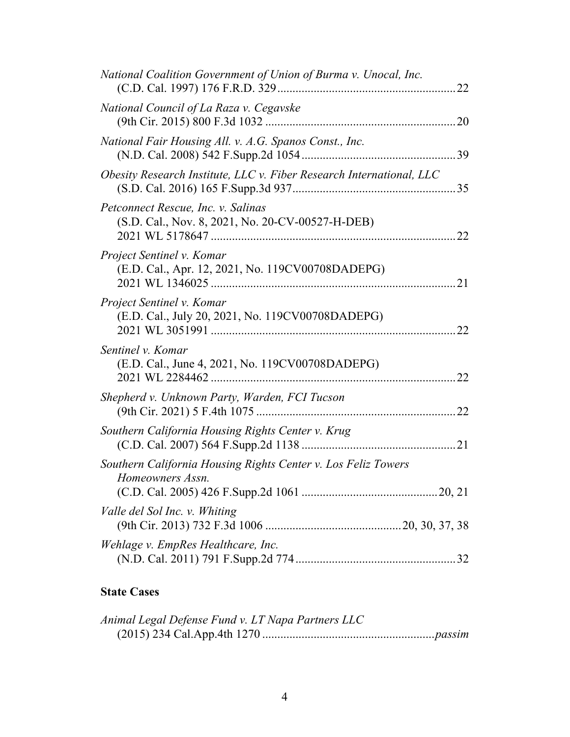| National Coalition Government of Union of Burma v. Unocal, Inc.                        |     |
|----------------------------------------------------------------------------------------|-----|
| National Council of La Raza v. Cegavske                                                |     |
| National Fair Housing All. v. A.G. Spanos Const., Inc.                                 |     |
| Obesity Research Institute, LLC v. Fiber Research International, LLC                   |     |
| Petconnect Rescue, Inc. v. Salinas<br>(S.D. Cal., Nov. 8, 2021, No. 20-CV-00527-H-DEB) | .22 |
| Project Sentinel v. Komar<br>(E.D. Cal., Apr. 12, 2021, No. 119CV00708DADEPG)          | .21 |
| Project Sentinel v. Komar<br>(E.D. Cal., July 20, 2021, No. 119CV00708DADEPG)          | 22  |
| Sentinel v. Komar<br>(E.D. Cal., June 4, 2021, No. 119CV00708DADEPG)                   | 22  |
| Shepherd v. Unknown Party, Warden, FCI Tucson                                          | .22 |
| Southern California Housing Rights Center v. Krug                                      |     |
| Southern California Housing Rights Center v. Los Feliz Towers<br>Homeowners Assn.      |     |
| Valle del Sol Inc. v. Whiting                                                          |     |
| Wehlage v. EmpRes Healthcare, Inc.                                                     |     |

## **State Cases**

| Animal Legal Defense Fund v. LT Napa Partners LLC |  |
|---------------------------------------------------|--|
|                                                   |  |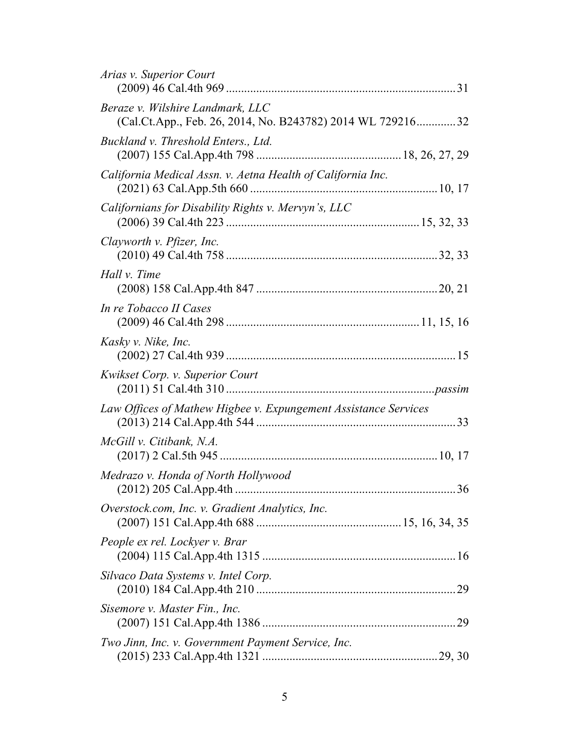| Arias v. Superior Court                                                                        |  |
|------------------------------------------------------------------------------------------------|--|
| Beraze v. Wilshire Landmark, LLC<br>(Cal.Ct.App., Feb. 26, 2014, No. B243782) 2014 WL 72921632 |  |
| Buckland v. Threshold Enters., Ltd.                                                            |  |
| California Medical Assn. v. Aetna Health of California Inc.                                    |  |
| Californians for Disability Rights v. Mervyn's, LLC                                            |  |
| Clayworth v. Pfizer, Inc.                                                                      |  |
| Hall <i>v</i> . Time                                                                           |  |
| In re Tobacco II Cases                                                                         |  |
| Kasky v. Nike, Inc.                                                                            |  |
| Kwikset Corp. v. Superior Court                                                                |  |
| Law Offices of Mathew Higbee v. Expungement Assistance Services                                |  |
| McGill v. Citibank, N.A.                                                                       |  |
| Medrazo v. Honda of North Hollywood                                                            |  |
| Overstock.com, Inc. v. Gradient Analytics, Inc.                                                |  |
| People ex rel. Lockyer v. Brar                                                                 |  |
| Silvaco Data Systems v. Intel Corp.                                                            |  |
| Sisemore v. Master Fin., Inc.                                                                  |  |
| Two Jinn, Inc. v. Government Payment Service, Inc.                                             |  |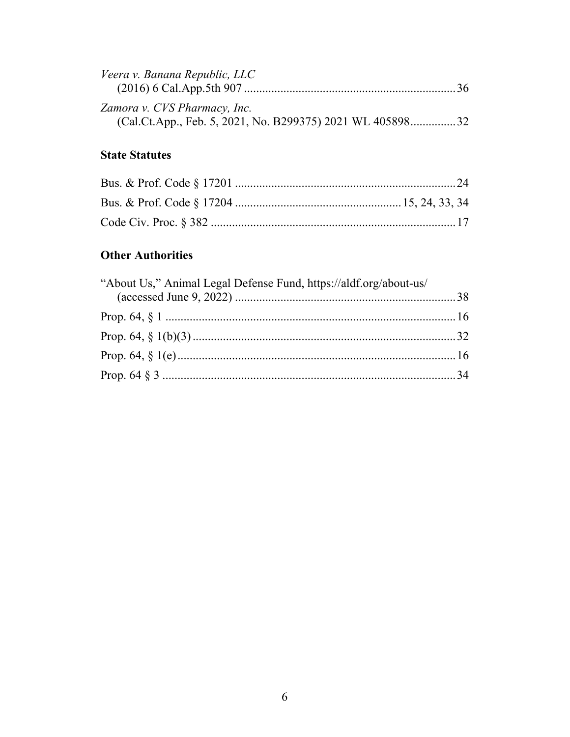| Veera v. Banana Republic, LLC                             |  |
|-----------------------------------------------------------|--|
|                                                           |  |
| Zamora v. CVS Pharmacy, Inc.                              |  |
| (Cal.Ct.App., Feb. 5, 2021, No. B299375) 2021 WL 40589832 |  |

## **State Statutes**

## **Other Authorities**

| "About Us," Animal Legal Defense Fund, https://aldf.org/about-us/ |  |
|-------------------------------------------------------------------|--|
|                                                                   |  |
|                                                                   |  |
|                                                                   |  |
|                                                                   |  |
|                                                                   |  |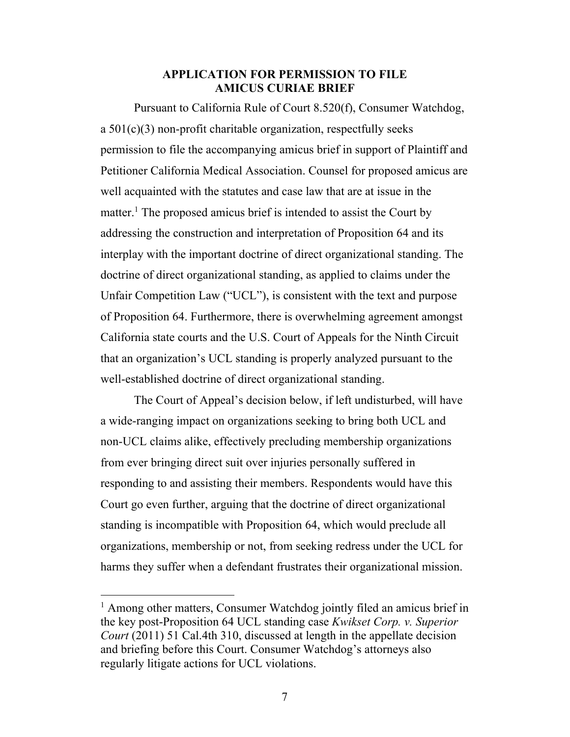#### **APPLICATION FOR PERMISSION TO FILE AMICUS CURIAE BRIEF**

Pursuant to California Rule of Court 8.520(f), Consumer Watchdog, a 501(c)(3) non-profit charitable organization, respectfully seeks permission to file the accompanying amicus brief in support of Plaintiff and Petitioner California Medical Association. Counsel for proposed amicus are well acquainted with the statutes and case law that are at issue in the matter.<sup>1</sup> The proposed amicus brief is intended to assist the Court by addressing the construction and interpretation of Proposition 64 and its interplay with the important doctrine of direct organizational standing. The doctrine of direct organizational standing, as applied to claims under the Unfair Competition Law ("UCL"), is consistent with the text and purpose of Proposition 64. Furthermore, there is overwhelming agreement amongst California state courts and the U.S. Court of Appeals for the Ninth Circuit that an organization's UCL standing is properly analyzed pursuant to the well-established doctrine of direct organizational standing.

The Court of Appeal's decision below, if left undisturbed, will have a wide-ranging impact on organizations seeking to bring both UCL and non-UCL claims alike, effectively precluding membership organizations from ever bringing direct suit over injuries personally suffered in responding to and assisting their members. Respondents would have this Court go even further, arguing that the doctrine of direct organizational standing is incompatible with Proposition 64, which would preclude all organizations, membership or not, from seeking redress under the UCL for harms they suffer when a defendant frustrates their organizational mission.

<sup>&</sup>lt;sup>1</sup> Among other matters, Consumer Watchdog jointly filed an amicus brief in the key post-Proposition 64 UCL standing case *Kwikset Corp. v. Superior Court* (2011) 51 Cal.4th 310, discussed at length in the appellate decision and briefing before this Court. Consumer Watchdog's attorneys also regularly litigate actions for UCL violations.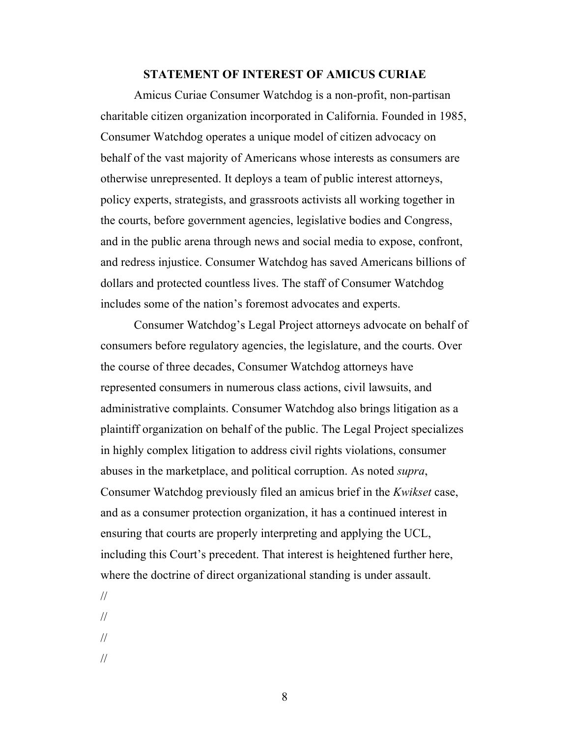#### **STATEMENT OF INTEREST OF AMICUS CURIAE**

Amicus Curiae Consumer Watchdog is a non-profit, non-partisan charitable citizen organization incorporated in California. Founded in 1985, Consumer Watchdog operates a unique model of citizen advocacy on behalf of the vast majority of Americans whose interests as consumers are otherwise unrepresented. It deploys a team of public interest attorneys, policy experts, strategists, and grassroots activists all working together in the courts, before government agencies, legislative bodies and Congress, and in the public arena through news and social media to expose, confront, and redress injustice. Consumer Watchdog has saved Americans billions of dollars and protected countless lives. The staff of Consumer Watchdog includes some of the nation's foremost advocates and experts.

Consumer Watchdog's Legal Project attorneys advocate on behalf of consumers before regulatory agencies, the legislature, and the courts. Over the course of three decades, Consumer Watchdog attorneys have represented consumers in numerous class actions, civil lawsuits, and administrative complaints. Consumer Watchdog also brings litigation as a plaintiff organization on behalf of the public. The Legal Project specializes in highly complex litigation to address civil rights violations, consumer abuses in the marketplace, and political corruption. As noted *supra*, Consumer Watchdog previously filed an amicus brief in the *Kwikset* case, and as a consumer protection organization, it has a continued interest in ensuring that courts are properly interpreting and applying the UCL, including this Court's precedent. That interest is heightened further here, where the doctrine of direct organizational standing is under assault.

// //

- //
- 
- //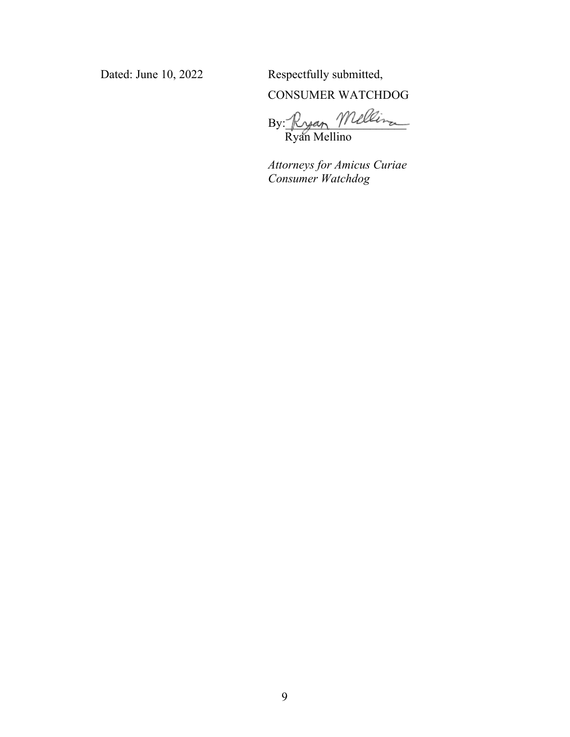Dated: June 10, 2022 Respectfully submitted,

CONSUMER WATCHDOG

By: Ryan Mellina Ryan Mellino

*Attorneys for Amicus Curiae Consumer Watchdog*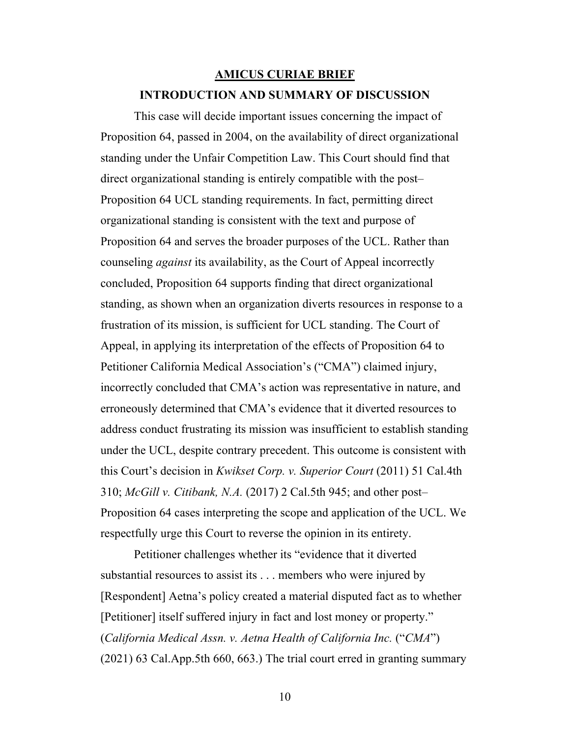## **AMICUS CURIAE BRIEF INTRODUCTION AND SUMMARY OF DISCUSSION**

This case will decide important issues concerning the impact of Proposition 64, passed in 2004, on the availability of direct organizational standing under the Unfair Competition Law. This Court should find that direct organizational standing is entirely compatible with the post– Proposition 64 UCL standing requirements. In fact, permitting direct organizational standing is consistent with the text and purpose of Proposition 64 and serves the broader purposes of the UCL. Rather than counseling *against* its availability, as the Court of Appeal incorrectly concluded, Proposition 64 supports finding that direct organizational standing, as shown when an organization diverts resources in response to a frustration of its mission, is sufficient for UCL standing. The Court of Appeal, in applying its interpretation of the effects of Proposition 64 to Petitioner California Medical Association's ("CMA") claimed injury, incorrectly concluded that CMA's action was representative in nature, and erroneously determined that CMA's evidence that it diverted resources to address conduct frustrating its mission was insufficient to establish standing under the UCL, despite contrary precedent. This outcome is consistent with this Court's decision in *Kwikset Corp. v. Superior Court* (2011) 51 Cal.4th 310; *McGill v. Citibank, N.A.* (2017) 2 Cal.5th 945; and other post– Proposition 64 cases interpreting the scope and application of the UCL. We respectfully urge this Court to reverse the opinion in its entirety.

Petitioner challenges whether its "evidence that it diverted substantial resources to assist its . . . members who were injured by [Respondent] Aetna's policy created a material disputed fact as to whether [Petitioner] itself suffered injury in fact and lost money or property." (*California Medical Assn. v. Aetna Health of California Inc.* ("*CMA*") (2021) 63 Cal.App.5th 660, 663.) The trial court erred in granting summary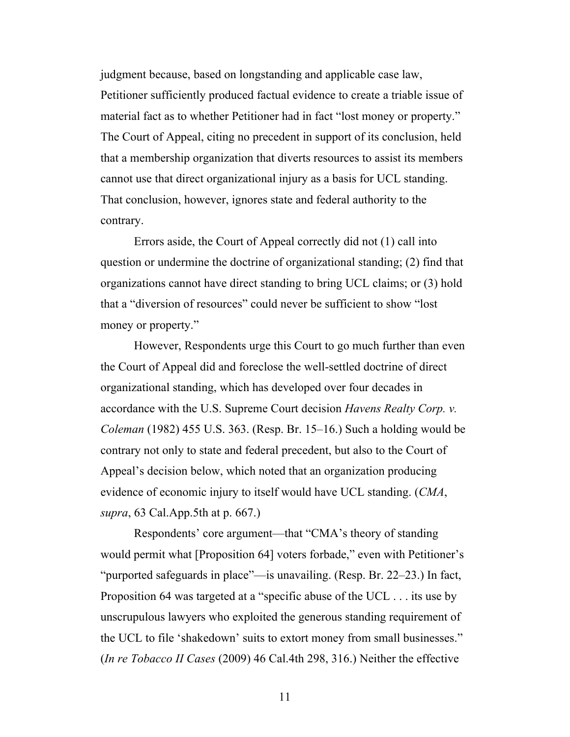judgment because, based on longstanding and applicable case law, Petitioner sufficiently produced factual evidence to create a triable issue of material fact as to whether Petitioner had in fact "lost money or property." The Court of Appeal, citing no precedent in support of its conclusion, held that a membership organization that diverts resources to assist its members cannot use that direct organizational injury as a basis for UCL standing. That conclusion, however, ignores state and federal authority to the contrary.

Errors aside, the Court of Appeal correctly did not (1) call into question or undermine the doctrine of organizational standing; (2) find that organizations cannot have direct standing to bring UCL claims; or (3) hold that a "diversion of resources" could never be sufficient to show "lost money or property."

However, Respondents urge this Court to go much further than even the Court of Appeal did and foreclose the well-settled doctrine of direct organizational standing, which has developed over four decades in accordance with the U.S. Supreme Court decision *Havens Realty Corp. v. Coleman* (1982) 455 U.S. 363. (Resp. Br. 15–16.) Such a holding would be contrary not only to state and federal precedent, but also to the Court of Appeal's decision below, which noted that an organization producing evidence of economic injury to itself would have UCL standing. (*CMA*, *supra*, 63 Cal.App.5th at p. 667.)

Respondents' core argument—that "CMA's theory of standing would permit what [Proposition 64] voters forbade," even with Petitioner's "purported safeguards in place"—is unavailing. (Resp. Br. 22–23.) In fact, Proposition 64 was targeted at a "specific abuse of the UCL . . . its use by unscrupulous lawyers who exploited the generous standing requirement of the UCL to file 'shakedown' suits to extort money from small businesses." (*In re Tobacco II Cases* (2009) 46 Cal.4th 298, 316.) Neither the effective

11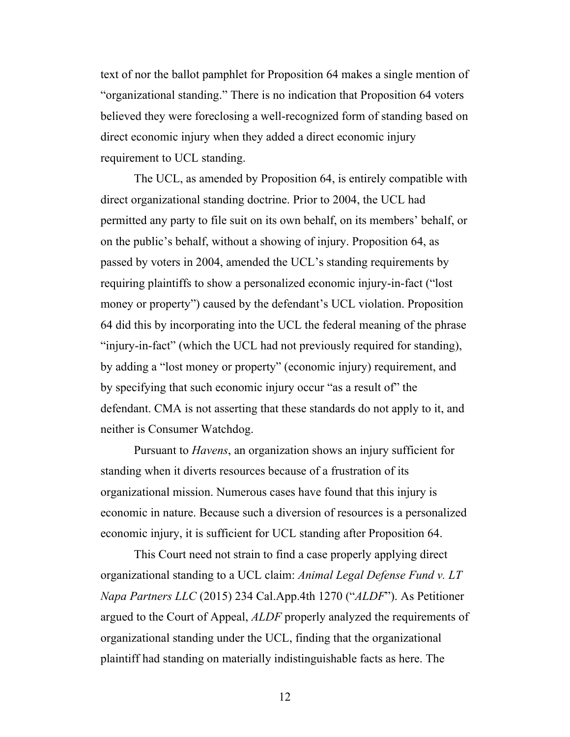text of nor the ballot pamphlet for Proposition 64 makes a single mention of "organizational standing." There is no indication that Proposition 64 voters believed they were foreclosing a well-recognized form of standing based on direct economic injury when they added a direct economic injury requirement to UCL standing.

The UCL, as amended by Proposition 64, is entirely compatible with direct organizational standing doctrine. Prior to 2004, the UCL had permitted any party to file suit on its own behalf, on its members' behalf, or on the public's behalf, without a showing of injury. Proposition 64, as passed by voters in 2004, amended the UCL's standing requirements by requiring plaintiffs to show a personalized economic injury-in-fact ("lost money or property") caused by the defendant's UCL violation. Proposition 64 did this by incorporating into the UCL the federal meaning of the phrase "injury-in-fact" (which the UCL had not previously required for standing), by adding a "lost money or property" (economic injury) requirement, and by specifying that such economic injury occur "as a result of" the defendant. CMA is not asserting that these standards do not apply to it, and neither is Consumer Watchdog.

Pursuant to *Havens*, an organization shows an injury sufficient for standing when it diverts resources because of a frustration of its organizational mission. Numerous cases have found that this injury is economic in nature. Because such a diversion of resources is a personalized economic injury, it is sufficient for UCL standing after Proposition 64.

This Court need not strain to find a case properly applying direct organizational standing to a UCL claim: *Animal Legal Defense Fund v. LT Napa Partners LLC* (2015) 234 Cal.App.4th 1270 ("*ALDF*"). As Petitioner argued to the Court of Appeal, *ALDF* properly analyzed the requirements of organizational standing under the UCL, finding that the organizational plaintiff had standing on materially indistinguishable facts as here. The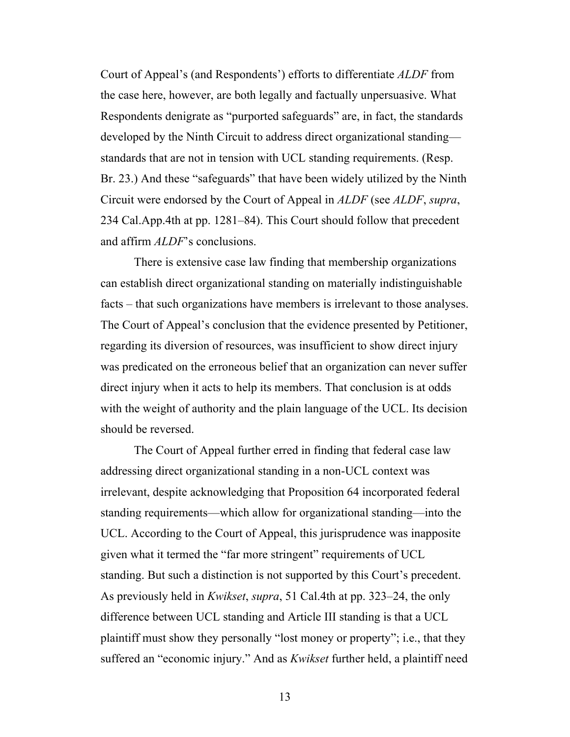Court of Appeal's (and Respondents') efforts to differentiate *ALDF* from the case here, however, are both legally and factually unpersuasive. What Respondents denigrate as "purported safeguards" are, in fact, the standards developed by the Ninth Circuit to address direct organizational standing standards that are not in tension with UCL standing requirements. (Resp. Br. 23.) And these "safeguards" that have been widely utilized by the Ninth Circuit were endorsed by the Court of Appeal in *ALDF* (see *ALDF*, *supra*, 234 Cal.App.4th at pp. 1281–84). This Court should follow that precedent and affirm *ALDF*'s conclusions.

There is extensive case law finding that membership organizations can establish direct organizational standing on materially indistinguishable facts – that such organizations have members is irrelevant to those analyses. The Court of Appeal's conclusion that the evidence presented by Petitioner, regarding its diversion of resources, was insufficient to show direct injury was predicated on the erroneous belief that an organization can never suffer direct injury when it acts to help its members. That conclusion is at odds with the weight of authority and the plain language of the UCL. Its decision should be reversed.

The Court of Appeal further erred in finding that federal case law addressing direct organizational standing in a non-UCL context was irrelevant, despite acknowledging that Proposition 64 incorporated federal standing requirements—which allow for organizational standing—into the UCL. According to the Court of Appeal, this jurisprudence was inapposite given what it termed the "far more stringent" requirements of UCL standing. But such a distinction is not supported by this Court's precedent. As previously held in *Kwikset*, *supra*, 51 Cal.4th at pp. 323–24, the only difference between UCL standing and Article III standing is that a UCL plaintiff must show they personally "lost money or property"; i.e., that they suffered an "economic injury." And as *Kwikset* further held, a plaintiff need

13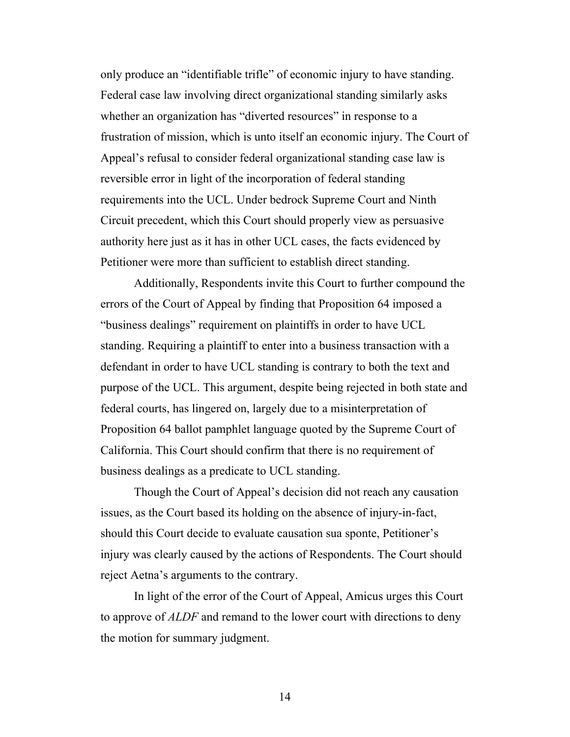only produce an "identifiable trifle" of economic injury to have standing. Federal case law involving direct organizational standing similarly asks whether an organization has "diverted resources" in response to a frustration of mission, which is unto itself an economic injury. The Court of Appeal's refusal to consider federal organizational standing case law is reversible error in light of the incorporation of federal standing requirements into the UCL. Under bedrock Supreme Court and Ninth Circuit precedent, which this Court should properly view as persuasive authority here just as it has in other UCL cases, the facts evidenced by Petitioner were more than sufficient to establish direct standing.

Additionally, Respondents invite this Court to further compound the errors of the Court of Appeal by finding that Proposition 64 imposed a "business dealings" requirement on plaintiffs in order to have UCL standing. Requiring a plaintiff to enter into a business transaction with a defendant in order to have UCL standing is contrary to both the text and purpose of the UCL. This argument, despite being rejected in both state and federal courts, has lingered on, largely due to a misinterpretation of Proposition 64 ballot pamphlet language quoted by the Supreme Court of California. This Court should confirm that there is no requirement of business dealings as a predicate to UCL standing.

Though the Court of Appeal's decision did not reach any causation issues, as the Court based its holding on the absence of injury-in-fact, should this Court decide to evaluate causation sua sponte, Petitioner's injury was clearly caused by the actions of Respondents. The Court should reject Aetna's arguments to the contrary.

In light of the error of the Court of Appeal, Amicus urges this Court to approve of *ALDF* and remand to the lower court with directions to deny the motion for summary judgment.

14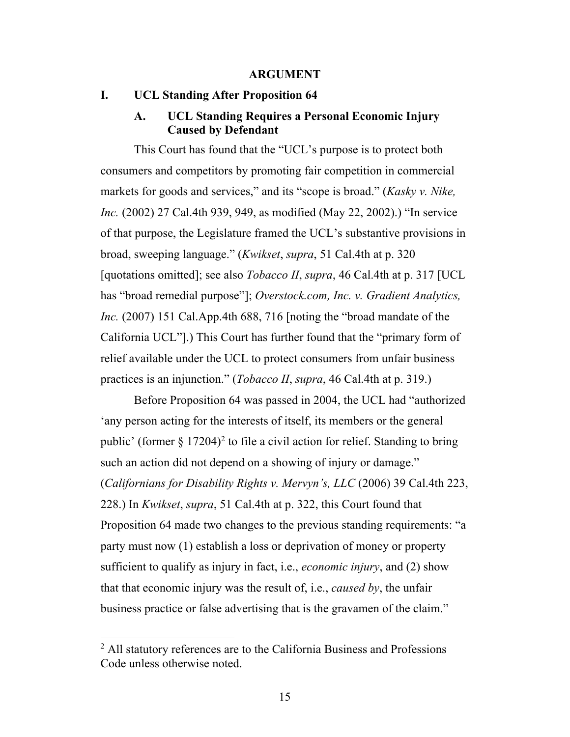#### **ARGUMENT**

### **I. UCL Standing After Proposition 64**

### **A. UCL Standing Requires a Personal Economic Injury Caused by Defendant**

This Court has found that the "UCL's purpose is to protect both consumers and competitors by promoting fair competition in commercial markets for goods and services," and its "scope is broad." (*Kasky v. Nike, Inc.* (2002) 27 Cal.4th 939, 949, as modified (May 22, 2002).) "In service of that purpose, the Legislature framed the UCL's substantive provisions in broad, sweeping language." (*Kwikset*, *supra*, 51 Cal.4th at p. 320 [quotations omitted]; see also *Tobacco II*, *supra*, 46 Cal.4th at p. 317 [UCL has "broad remedial purpose"]; *Overstock.com, Inc. v. Gradient Analytics, Inc.* (2007) 151 Cal.App.4th 688, 716 [noting the "broad mandate of the California UCL"].) This Court has further found that the "primary form of relief available under the UCL to protect consumers from unfair business practices is an injunction." (*Tobacco II*, *supra*, 46 Cal.4th at p. 319.)

Before Proposition 64 was passed in 2004, the UCL had "authorized 'any person acting for the interests of itself, its members or the general public' (former  $\S 17204$ )<sup>2</sup> to file a civil action for relief. Standing to bring such an action did not depend on a showing of injury or damage." (*Californians for Disability Rights v. Mervyn's, LLC* (2006) 39 Cal.4th 223, 228.) In *Kwikset*, *supra*, 51 Cal.4th at p. 322, this Court found that Proposition 64 made two changes to the previous standing requirements: "a party must now (1) establish a loss or deprivation of money or property sufficient to qualify as injury in fact, i.e., *economic injury*, and (2) show that that economic injury was the result of, i.e., *caused by*, the unfair business practice or false advertising that is the gravamen of the claim."

<sup>2</sup> All statutory references are to the California Business and Professions Code unless otherwise noted.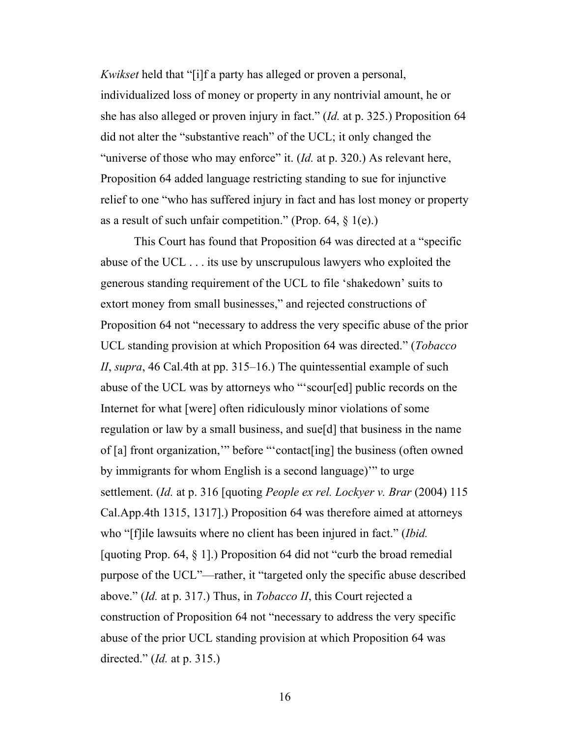*Kwikset* held that "[i]f a party has alleged or proven a personal, individualized loss of money or property in any nontrivial amount, he or she has also alleged or proven injury in fact." (*Id.* at p. 325.) Proposition 64 did not alter the "substantive reach" of the UCL; it only changed the "universe of those who may enforce" it. (*Id.* at p. 320.) As relevant here, Proposition 64 added language restricting standing to sue for injunctive relief to one "who has suffered injury in fact and has lost money or property as a result of such unfair competition." (Prop. 64,  $\S$  1(e).)

This Court has found that Proposition 64 was directed at a "specific abuse of the UCL . . . its use by unscrupulous lawyers who exploited the generous standing requirement of the UCL to file 'shakedown' suits to extort money from small businesses," and rejected constructions of Proposition 64 not "necessary to address the very specific abuse of the prior UCL standing provision at which Proposition 64 was directed." (*Tobacco II*, *supra*, 46 Cal.4th at pp. 315–16.) The quintessential example of such abuse of the UCL was by attorneys who "'scour[ed] public records on the Internet for what [were] often ridiculously minor violations of some regulation or law by a small business, and sue[d] that business in the name of [a] front organization,'" before "'contact[ing] the business (often owned by immigrants for whom English is a second language)'" to urge settlement. (*Id.* at p. 316 [quoting *People ex rel. Lockyer v. Brar* (2004) 115 Cal.App.4th 1315, 1317].) Proposition 64 was therefore aimed at attorneys who "[f]ile lawsuits where no client has been injured in fact." (*Ibid.* [quoting Prop. 64,  $\S$  1].) Proposition 64 did not "curb the broad remedial purpose of the UCL"—rather, it "targeted only the specific abuse described above." (*Id.* at p. 317.) Thus, in *Tobacco II*, this Court rejected a construction of Proposition 64 not "necessary to address the very specific abuse of the prior UCL standing provision at which Proposition 64 was directed." (*Id.* at p. 315.)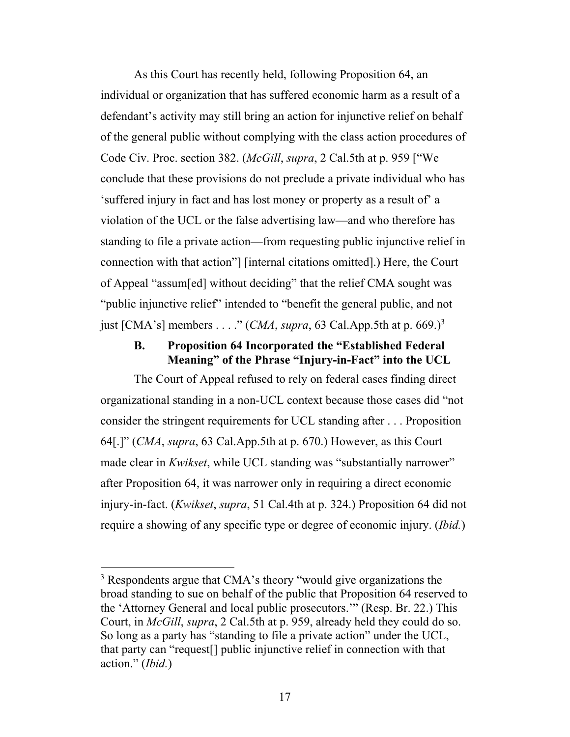As this Court has recently held, following Proposition 64, an individual or organization that has suffered economic harm as a result of a defendant's activity may still bring an action for injunctive relief on behalf of the general public without complying with the class action procedures of Code Civ. Proc. section 382. (*McGill*, *supra*, 2 Cal.5th at p. 959 ["We conclude that these provisions do not preclude a private individual who has 'suffered injury in fact and has lost money or property as a result of' a violation of the UCL or the false advertising law—and who therefore has standing to file a private action—from requesting public injunctive relief in connection with that action"] [internal citations omitted].) Here, the Court of Appeal "assum[ed] without deciding" that the relief CMA sought was "public injunctive relief" intended to "benefit the general public, and not just [CMA's] members . . . ." (*CMA*, *supra*, 63 Cal.App.5th at p. 669.)3

### **B. Proposition 64 Incorporated the "Established Federal Meaning" of the Phrase "Injury-in-Fact" into the UCL**

The Court of Appeal refused to rely on federal cases finding direct organizational standing in a non-UCL context because those cases did "not consider the stringent requirements for UCL standing after . . . Proposition 64[.]" (*CMA*, *supra*, 63 Cal.App.5th at p. 670.) However, as this Court made clear in *Kwikset*, while UCL standing was "substantially narrower" after Proposition 64, it was narrower only in requiring a direct economic injury-in-fact. (*Kwikset*, *supra*, 51 Cal.4th at p. 324.) Proposition 64 did not require a showing of any specific type or degree of economic injury. (*Ibid.*)

<sup>&</sup>lt;sup>3</sup> Respondents argue that CMA's theory "would give organizations the broad standing to sue on behalf of the public that Proposition 64 reserved to the 'Attorney General and local public prosecutors.'" (Resp. Br. 22.) This Court, in *McGill*, *supra*, 2 Cal.5th at p. 959, already held they could do so. So long as a party has "standing to file a private action" under the UCL, that party can "request[] public injunctive relief in connection with that action." (*Ibid.*)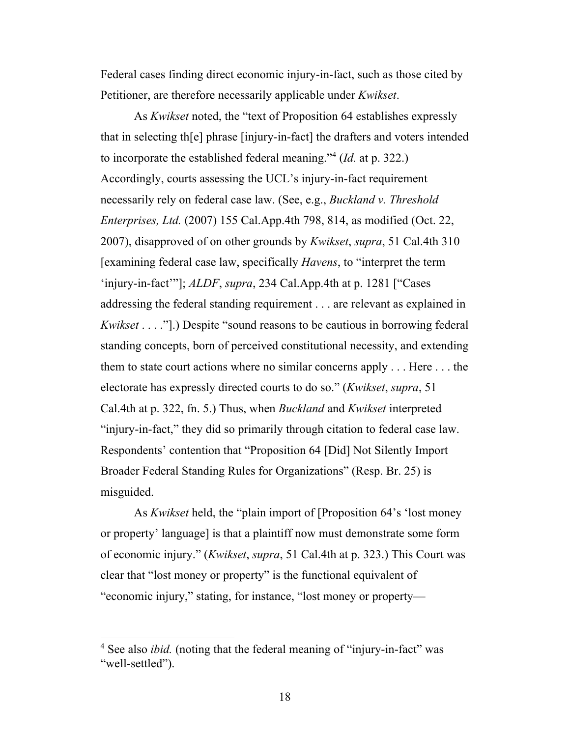Federal cases finding direct economic injury-in-fact, such as those cited by Petitioner, are therefore necessarily applicable under *Kwikset*.

As *Kwikset* noted, the "text of Proposition 64 establishes expressly that in selecting th[e] phrase [injury-in-fact] the drafters and voters intended to incorporate the established federal meaning."4 (*Id.* at p. 322.) Accordingly, courts assessing the UCL's injury-in-fact requirement necessarily rely on federal case law. (See, e.g., *Buckland v. Threshold Enterprises, Ltd.* (2007) 155 Cal.App.4th 798, 814, as modified (Oct. 22, 2007), disapproved of on other grounds by *Kwikset*, *supra*, 51 Cal.4th 310 [examining federal case law, specifically *Havens*, to "interpret the term 'injury-in-fact'"]; *ALDF*, *supra*, 234 Cal.App.4th at p. 1281 ["Cases addressing the federal standing requirement . . . are relevant as explained in *Kwikset* . . . ."].) Despite "sound reasons to be cautious in borrowing federal standing concepts, born of perceived constitutional necessity, and extending them to state court actions where no similar concerns apply . . . Here . . . the electorate has expressly directed courts to do so." (*Kwikset*, *supra*, 51 Cal.4th at p. 322, fn. 5.) Thus, when *Buckland* and *Kwikset* interpreted "injury-in-fact," they did so primarily through citation to federal case law. Respondents' contention that "Proposition 64 [Did] Not Silently Import Broader Federal Standing Rules for Organizations" (Resp. Br. 25) is misguided.

As *Kwikset* held, the "plain import of [Proposition 64's 'lost money or property' language] is that a plaintiff now must demonstrate some form of economic injury." (*Kwikset*, *supra*, 51 Cal.4th at p. 323.) This Court was clear that "lost money or property" is the functional equivalent of "economic injury," stating, for instance, "lost money or property—

<sup>&</sup>lt;sup>4</sup> See also *ibid.* (noting that the federal meaning of "injury-in-fact" was "well-settled").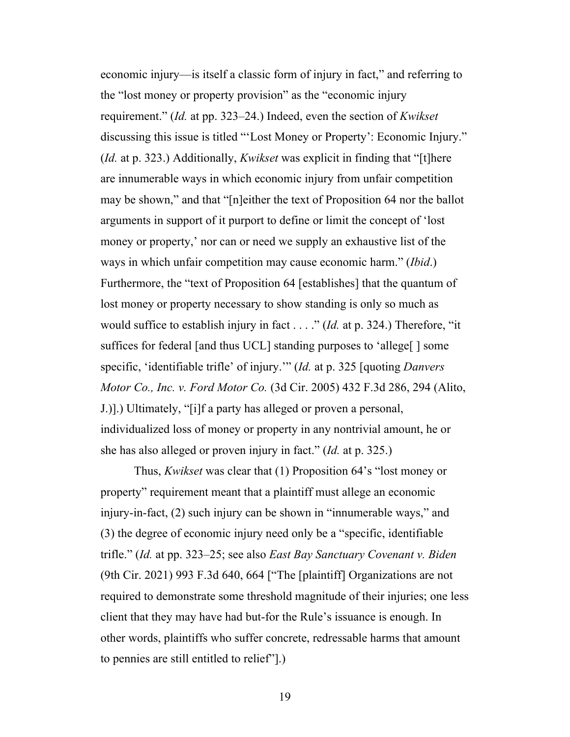economic injury—is itself a classic form of injury in fact," and referring to the "lost money or property provision" as the "economic injury requirement." (*Id.* at pp. 323–24.) Indeed, even the section of *Kwikset* discussing this issue is titled "'Lost Money or Property': Economic Injury." (*Id.* at p. 323.) Additionally, *Kwikset* was explicit in finding that "[t]here are innumerable ways in which economic injury from unfair competition may be shown," and that "[n]either the text of Proposition 64 nor the ballot arguments in support of it purport to define or limit the concept of 'lost money or property,' nor can or need we supply an exhaustive list of the ways in which unfair competition may cause economic harm." (*Ibid*.) Furthermore, the "text of Proposition 64 [establishes] that the quantum of lost money or property necessary to show standing is only so much as would suffice to establish injury in fact . . . ." (*Id.* at p. 324.) Therefore, "it suffices for federal [and thus UCL] standing purposes to 'allege[ ] some specific, 'identifiable trifle' of injury.'" (*Id.* at p. 325 [quoting *Danvers Motor Co., Inc. v. Ford Motor Co.* (3d Cir. 2005) 432 F.3d 286, 294 (Alito, J.)].) Ultimately, "[i]f a party has alleged or proven a personal, individualized loss of money or property in any nontrivial amount, he or she has also alleged or proven injury in fact." (*Id.* at p. 325.)

Thus, *Kwikset* was clear that (1) Proposition 64's "lost money or property" requirement meant that a plaintiff must allege an economic injury-in-fact, (2) such injury can be shown in "innumerable ways," and (3) the degree of economic injury need only be a "specific, identifiable trifle." (*Id.* at pp. 323–25; see also *East Bay Sanctuary Covenant v. Biden* (9th Cir. 2021) 993 F.3d 640, 664 ["The [plaintiff] Organizations are not required to demonstrate some threshold magnitude of their injuries; one less client that they may have had but-for the Rule's issuance is enough. In other words, plaintiffs who suffer concrete, redressable harms that amount to pennies are still entitled to relief"].)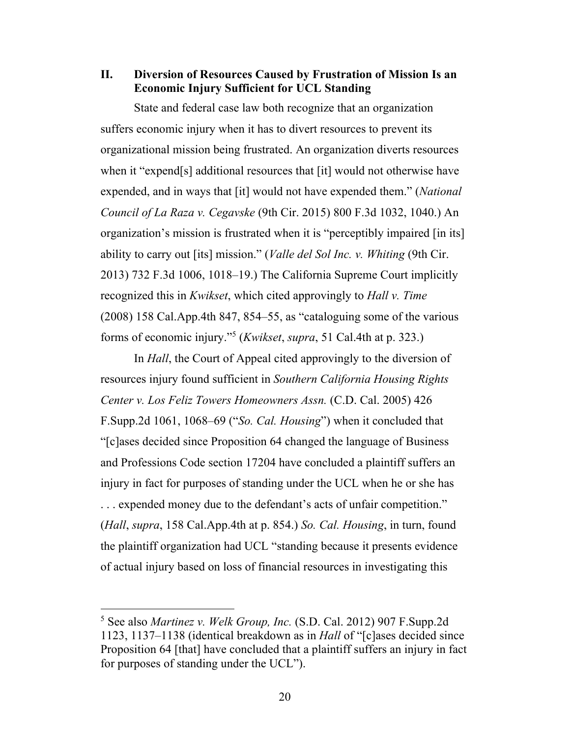**II. Diversion of Resources Caused by Frustration of Mission Is an Economic Injury Sufficient for UCL Standing**

State and federal case law both recognize that an organization suffers economic injury when it has to divert resources to prevent its organizational mission being frustrated. An organization diverts resources when it "expend[s] additional resources that [it] would not otherwise have expended, and in ways that [it] would not have expended them." (*National Council of La Raza v. Cegavske* (9th Cir. 2015) 800 F.3d 1032, 1040.) An organization's mission is frustrated when it is "perceptibly impaired [in its] ability to carry out [its] mission." (*Valle del Sol Inc. v. Whiting* (9th Cir. 2013) 732 F.3d 1006, 1018–19.) The California Supreme Court implicitly recognized this in *Kwikset*, which cited approvingly to *Hall v. Time* (2008) 158 Cal.App.4th 847, 854–55, as "cataloguing some of the various forms of economic injury."5 (*Kwikset*, *supra*, 51 Cal.4th at p. 323.)

In *Hall*, the Court of Appeal cited approvingly to the diversion of resources injury found sufficient in *Southern California Housing Rights Center v. Los Feliz Towers Homeowners Assn.* (C.D. Cal. 2005) 426 F.Supp.2d 1061, 1068–69 ("*So. Cal. Housing*") when it concluded that "[c]ases decided since Proposition 64 changed the language of Business and Professions Code section 17204 have concluded a plaintiff suffers an injury in fact for purposes of standing under the UCL when he or she has . . . expended money due to the defendant's acts of unfair competition." (*Hall*, *supra*, 158 Cal.App.4th at p. 854.) *So. Cal. Housing*, in turn, found the plaintiff organization had UCL "standing because it presents evidence of actual injury based on loss of financial resources in investigating this

<sup>5</sup> See also *Martinez v. Welk Group, Inc.* (S.D. Cal. 2012) 907 F.Supp.2d 1123, 1137–1138 (identical breakdown as in *Hall* of "[c]ases decided since Proposition 64 [that] have concluded that a plaintiff suffers an injury in fact for purposes of standing under the UCL").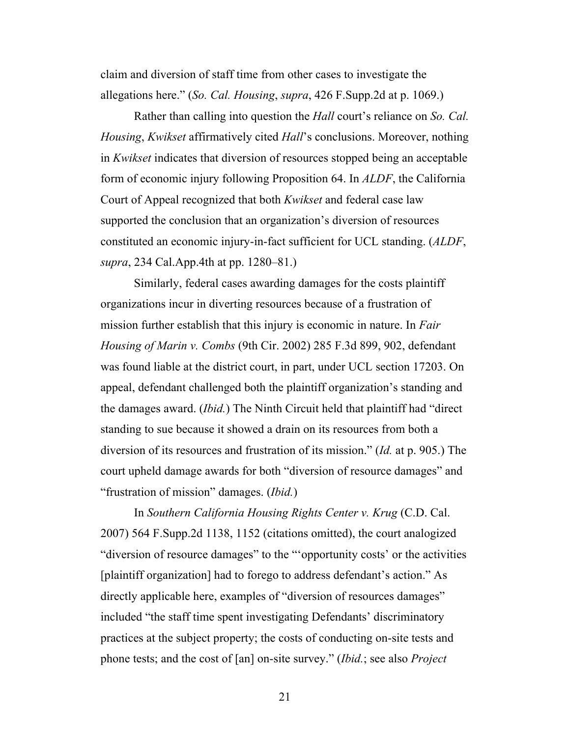claim and diversion of staff time from other cases to investigate the allegations here." (*So. Cal. Housing*, *supra*, 426 F.Supp.2d at p. 1069.)

Rather than calling into question the *Hall* court's reliance on *So. Cal. Housing*, *Kwikset* affirmatively cited *Hall*'s conclusions. Moreover, nothing in *Kwikset* indicates that diversion of resources stopped being an acceptable form of economic injury following Proposition 64. In *ALDF*, the California Court of Appeal recognized that both *Kwikset* and federal case law supported the conclusion that an organization's diversion of resources constituted an economic injury-in-fact sufficient for UCL standing. (*ALDF*, *supra*, 234 Cal.App.4th at pp. 1280–81.)

Similarly, federal cases awarding damages for the costs plaintiff organizations incur in diverting resources because of a frustration of mission further establish that this injury is economic in nature. In *Fair Housing of Marin v. Combs* (9th Cir. 2002) 285 F.3d 899, 902, defendant was found liable at the district court, in part, under UCL section 17203. On appeal, defendant challenged both the plaintiff organization's standing and the damages award. (*Ibid.*) The Ninth Circuit held that plaintiff had "direct standing to sue because it showed a drain on its resources from both a diversion of its resources and frustration of its mission." (*Id.* at p. 905.) The court upheld damage awards for both "diversion of resource damages" and "frustration of mission" damages. (*Ibid.*)

In *Southern California Housing Rights Center v. Krug* (C.D. Cal. 2007) 564 F.Supp.2d 1138, 1152 (citations omitted), the court analogized "diversion of resource damages" to the "'opportunity costs' or the activities [plaintiff organization] had to forego to address defendant's action." As directly applicable here, examples of "diversion of resources damages" included "the staff time spent investigating Defendants' discriminatory practices at the subject property; the costs of conducting on-site tests and phone tests; and the cost of [an] on-site survey." (*Ibid.*; see also *Project* 

21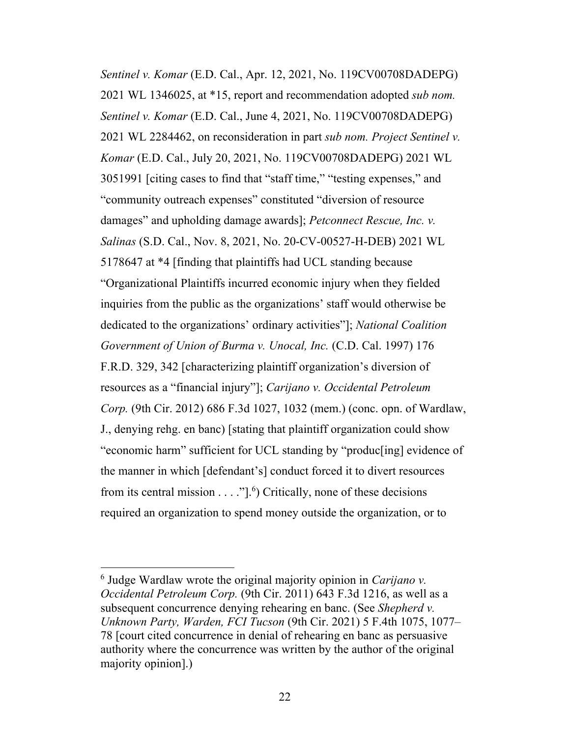*Sentinel v. Komar* (E.D. Cal., Apr. 12, 2021, No. 119CV00708DADEPG) 2021 WL 1346025, at \*15, report and recommendation adopted *sub nom. Sentinel v. Komar* (E.D. Cal., June 4, 2021, No. 119CV00708DADEPG) 2021 WL 2284462, on reconsideration in part *sub nom. Project Sentinel v. Komar* (E.D. Cal., July 20, 2021, No. 119CV00708DADEPG) 2021 WL 3051991 [citing cases to find that "staff time," "testing expenses," and "community outreach expenses" constituted "diversion of resource damages" and upholding damage awards]; *Petconnect Rescue, Inc. v. Salinas* (S.D. Cal., Nov. 8, 2021, No. 20-CV-00527-H-DEB) 2021 WL 5178647 at \*4 [finding that plaintiffs had UCL standing because "Organizational Plaintiffs incurred economic injury when they fielded inquiries from the public as the organizations' staff would otherwise be dedicated to the organizations' ordinary activities"]; *National Coalition Government of Union of Burma v. Unocal, Inc.* (C.D. Cal. 1997) 176 F.R.D. 329, 342 [characterizing plaintiff organization's diversion of resources as a "financial injury"]; *Carijano v. Occidental Petroleum Corp.* (9th Cir. 2012) 686 F.3d 1027, 1032 (mem.) (conc. opn. of Wardlaw, J., denying rehg. en banc) [stating that plaintiff organization could show "economic harm" sufficient for UCL standing by "produc[ing] evidence of the manner in which [defendant's] conduct forced it to divert resources from its central mission  $\dots$  "].<sup>6</sup>) Critically, none of these decisions required an organization to spend money outside the organization, or to

<sup>6</sup> Judge Wardlaw wrote the original majority opinion in *Carijano v. Occidental Petroleum Corp.* (9th Cir. 2011) 643 F.3d 1216, as well as a subsequent concurrence denying rehearing en banc. (See *Shepherd v. Unknown Party, Warden, FCI Tucson* (9th Cir. 2021) 5 F.4th 1075, 1077– 78 [court cited concurrence in denial of rehearing en banc as persuasive authority where the concurrence was written by the author of the original majority opinion].)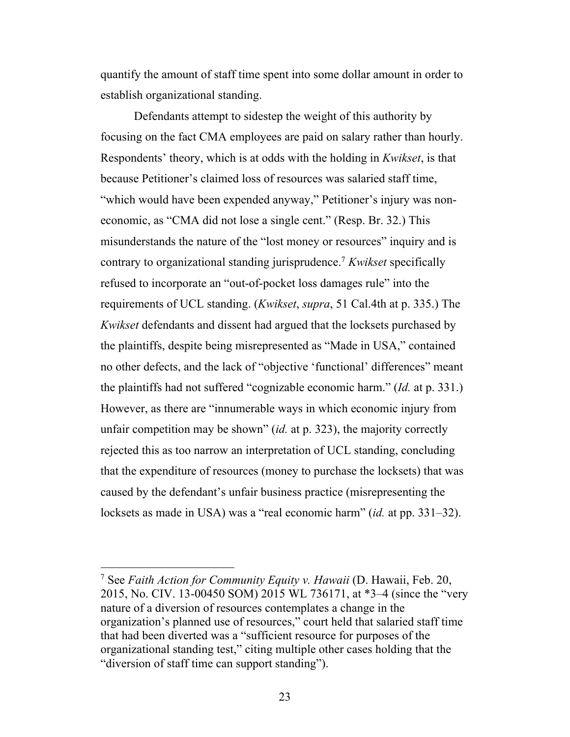quantify the amount of staff time spent into some dollar amount in order to establish organizational standing.

Defendants attempt to sidestep the weight of this authority by focusing on the fact CMA employees are paid on salary rather than hourly. Respondents' theory, which is at odds with the holding in *Kwikset*, is that because Petitioner's claimed loss of resources was salaried staff time, "which would have been expended anyway," Petitioner's injury was noneconomic, as "CMA did not lose a single cent." (Resp. Br. 32.) This misunderstands the nature of the "lost money or resources" inquiry and is contrary to organizational standing jurisprudence. <sup>7</sup> *Kwikset* specifically refused to incorporate an "out-of-pocket loss damages rule" into the requirements of UCL standing. (*Kwikset*, *supra*, 51 Cal.4th at p. 335.) The *Kwikset* defendants and dissent had argued that the locksets purchased by the plaintiffs, despite being misrepresented as "Made in USA," contained no other defects, and the lack of "objective 'functional' differences" meant the plaintiffs had not suffered "cognizable economic harm." (*Id.* at p. 331.) However, as there are "innumerable ways in which economic injury from unfair competition may be shown" (*id.* at p. 323), the majority correctly rejected this as too narrow an interpretation of UCL standing, concluding that the expenditure of resources (money to purchase the locksets) that was caused by the defendant's unfair business practice (misrepresenting the locksets as made in USA) was a "real economic harm" (*id.* at pp. 331–32).

<sup>7</sup> See *Faith Action for Community Equity v. Hawaii* (D. Hawaii, Feb. 20, 2015, No. CIV. 13-00450 SOM) 2015 WL 736171, at \*3–4 (since the "very nature of a diversion of resources contemplates a change in the organization's planned use of resources," court held that salaried staff time that had been diverted was a "sufficient resource for purposes of the organizational standing test," citing multiple other cases holding that the "diversion of staff time can support standing").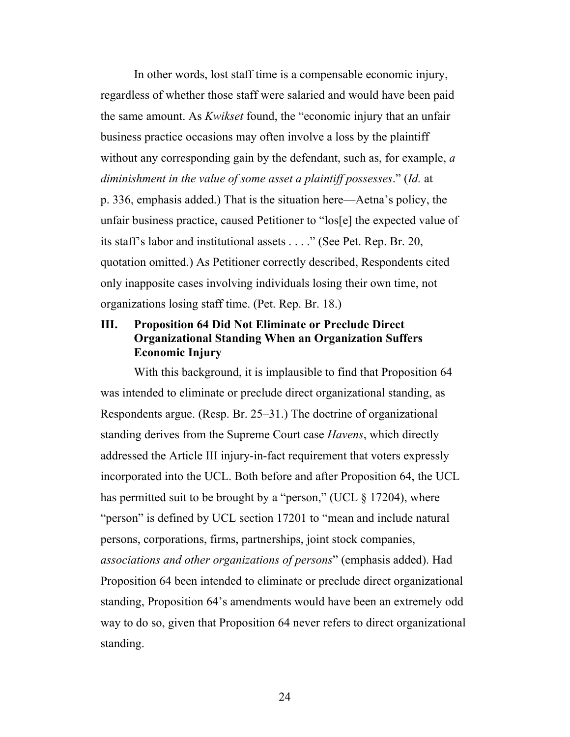In other words, lost staff time is a compensable economic injury, regardless of whether those staff were salaried and would have been paid the same amount. As *Kwikset* found, the "economic injury that an unfair business practice occasions may often involve a loss by the plaintiff without any corresponding gain by the defendant, such as, for example, *a diminishment in the value of some asset a plaintiff possesses*." (*Id.* at p. 336, emphasis added.) That is the situation here—Aetna's policy, the unfair business practice, caused Petitioner to "los[e] the expected value of its staff's labor and institutional assets . . . ." (See Pet. Rep. Br. 20, quotation omitted.) As Petitioner correctly described, Respondents cited only inapposite cases involving individuals losing their own time, not organizations losing staff time. (Pet. Rep. Br. 18.)

### **III. Proposition 64 Did Not Eliminate or Preclude Direct Organizational Standing When an Organization Suffers Economic Injury**

With this background, it is implausible to find that Proposition 64 was intended to eliminate or preclude direct organizational standing, as Respondents argue. (Resp. Br. 25–31.) The doctrine of organizational standing derives from the Supreme Court case *Havens*, which directly addressed the Article III injury-in-fact requirement that voters expressly incorporated into the UCL. Both before and after Proposition 64, the UCL has permitted suit to be brought by a "person," (UCL  $\S$  17204), where "person" is defined by UCL section 17201 to "mean and include natural persons, corporations, firms, partnerships, joint stock companies, *associations and other organizations of persons*" (emphasis added). Had Proposition 64 been intended to eliminate or preclude direct organizational standing, Proposition 64's amendments would have been an extremely odd way to do so, given that Proposition 64 never refers to direct organizational standing.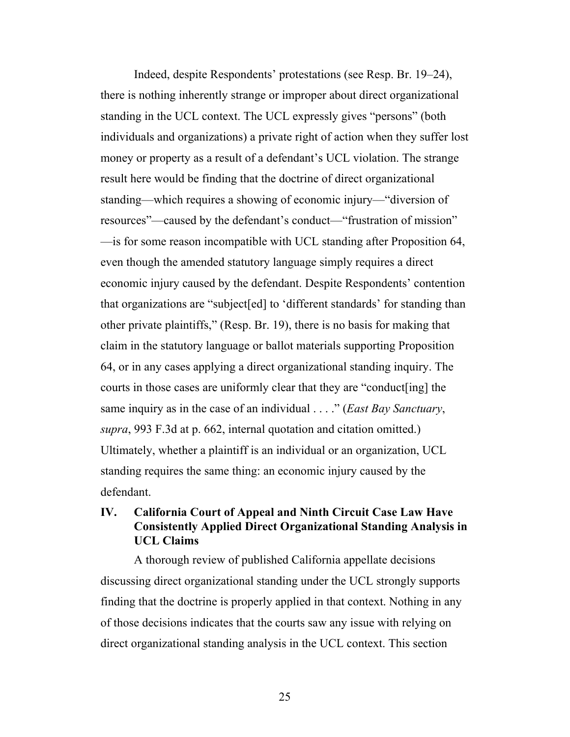Indeed, despite Respondents' protestations (see Resp. Br. 19–24), there is nothing inherently strange or improper about direct organizational standing in the UCL context. The UCL expressly gives "persons" (both individuals and organizations) a private right of action when they suffer lost money or property as a result of a defendant's UCL violation. The strange result here would be finding that the doctrine of direct organizational standing—which requires a showing of economic injury—"diversion of resources"—caused by the defendant's conduct—"frustration of mission" —is for some reason incompatible with UCL standing after Proposition 64, even though the amended statutory language simply requires a direct economic injury caused by the defendant. Despite Respondents' contention that organizations are "subject[ed] to 'different standards' for standing than other private plaintiffs," (Resp. Br. 19), there is no basis for making that claim in the statutory language or ballot materials supporting Proposition 64, or in any cases applying a direct organizational standing inquiry. The courts in those cases are uniformly clear that they are "conduct[ing] the same inquiry as in the case of an individual . . . ." (*East Bay Sanctuary*, *supra*, 993 F.3d at p. 662, internal quotation and citation omitted.) Ultimately, whether a plaintiff is an individual or an organization, UCL standing requires the same thing: an economic injury caused by the defendant.

### **IV. California Court of Appeal and Ninth Circuit Case Law Have Consistently Applied Direct Organizational Standing Analysis in UCL Claims**

A thorough review of published California appellate decisions discussing direct organizational standing under the UCL strongly supports finding that the doctrine is properly applied in that context. Nothing in any of those decisions indicates that the courts saw any issue with relying on direct organizational standing analysis in the UCL context. This section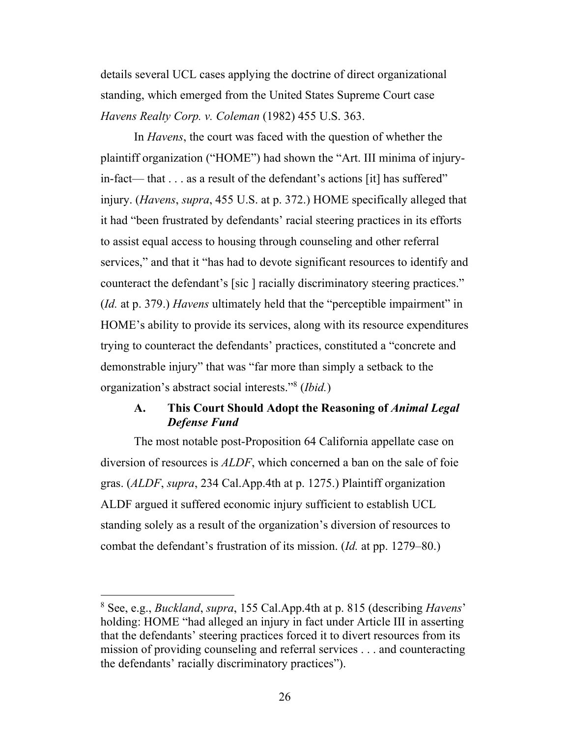details several UCL cases applying the doctrine of direct organizational standing, which emerged from the United States Supreme Court case *Havens Realty Corp. v. Coleman* (1982) 455 U.S. 363.

In *Havens*, the court was faced with the question of whether the plaintiff organization ("HOME") had shown the "Art. III minima of injuryin-fact— that . . . as a result of the defendant's actions [it] has suffered" injury. (*Havens*, *supra*, 455 U.S. at p. 372.) HOME specifically alleged that it had "been frustrated by defendants' racial steering practices in its efforts to assist equal access to housing through counseling and other referral services," and that it "has had to devote significant resources to identify and counteract the defendant's [sic ] racially discriminatory steering practices." (*Id.* at p. 379.) *Havens* ultimately held that the "perceptible impairment" in HOME's ability to provide its services, along with its resource expenditures trying to counteract the defendants' practices, constituted a "concrete and demonstrable injury" that was "far more than simply a setback to the organization's abstract social interests."8 (*Ibid.*)

### **A. This Court Should Adopt the Reasoning of** *Animal Legal Defense Fund*

The most notable post-Proposition 64 California appellate case on diversion of resources is *ALDF*, which concerned a ban on the sale of foie gras. (*ALDF*, *supra*, 234 Cal.App.4th at p. 1275.) Plaintiff organization ALDF argued it suffered economic injury sufficient to establish UCL standing solely as a result of the organization's diversion of resources to combat the defendant's frustration of its mission. (*Id.* at pp. 1279–80.)

<sup>8</sup> See, e.g., *Buckland*, *supra*, 155 Cal.App.4th at p. 815 (describing *Havens*' holding: HOME "had alleged an injury in fact under Article III in asserting that the defendants' steering practices forced it to divert resources from its mission of providing counseling and referral services . . . and counteracting the defendants' racially discriminatory practices").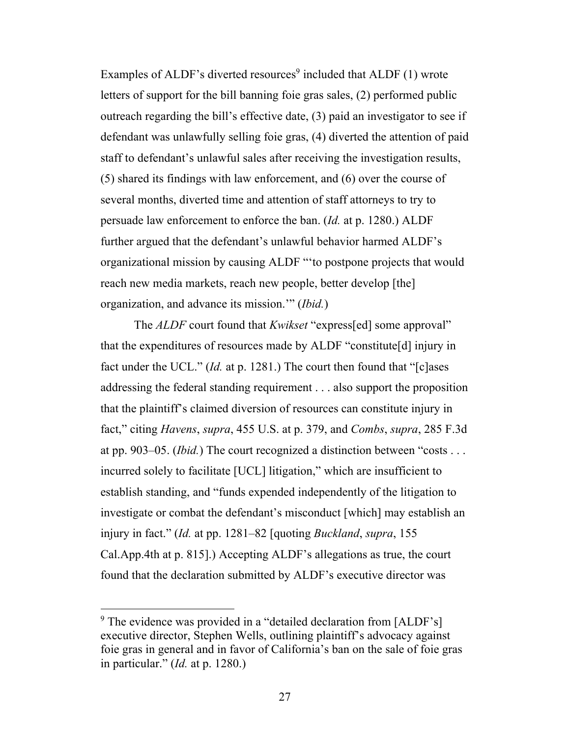Examples of ALDF's diverted resources<sup>9</sup> included that ALDF  $(1)$  wrote letters of support for the bill banning foie gras sales, (2) performed public outreach regarding the bill's effective date, (3) paid an investigator to see if defendant was unlawfully selling foie gras, (4) diverted the attention of paid staff to defendant's unlawful sales after receiving the investigation results, (5) shared its findings with law enforcement, and (6) over the course of several months, diverted time and attention of staff attorneys to try to persuade law enforcement to enforce the ban. (*Id.* at p. 1280.) ALDF further argued that the defendant's unlawful behavior harmed ALDF's organizational mission by causing ALDF "'to postpone projects that would reach new media markets, reach new people, better develop [the] organization, and advance its mission.'" (*Ibid.*)

The *ALDF* court found that *Kwikset* "express[ed] some approval" that the expenditures of resources made by ALDF "constitute[d] injury in fact under the UCL." (*Id.* at p. 1281.) The court then found that "[c]ases addressing the federal standing requirement . . . also support the proposition that the plaintiff's claimed diversion of resources can constitute injury in fact," citing *Havens*, *supra*, 455 U.S. at p. 379, and *Combs*, *supra*, 285 F.3d at pp. 903–05. (*Ibid.*) The court recognized a distinction between "costs . . . incurred solely to facilitate [UCL] litigation," which are insufficient to establish standing, and "funds expended independently of the litigation to investigate or combat the defendant's misconduct [which] may establish an injury in fact." (*Id.* at pp. 1281–82 [quoting *Buckland*, *supra*, 155 Cal.App.4th at p. 815].) Accepting ALDF's allegations as true, the court found that the declaration submitted by ALDF's executive director was

<sup>&</sup>lt;sup>9</sup> The evidence was provided in a "detailed declaration from [ALDF's] executive director, Stephen Wells, outlining plaintiff's advocacy against foie gras in general and in favor of California's ban on the sale of foie gras in particular." (*Id.* at p. 1280.)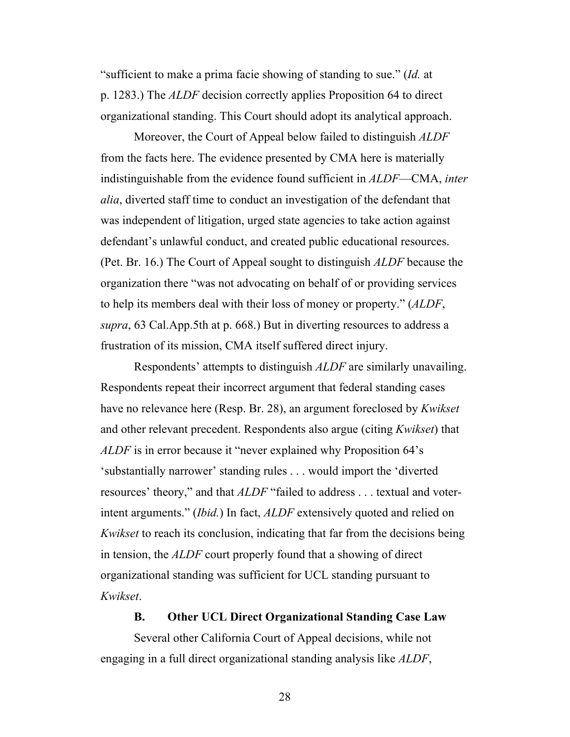"sufficient to make a prima facie showing of standing to sue." (*Id.* at p. 1283.) The *ALDF* decision correctly applies Proposition 64 to direct organizational standing. This Court should adopt its analytical approach.

Moreover, the Court of Appeal below failed to distinguish *ALDF* from the facts here. The evidence presented by CMA here is materially indistinguishable from the evidence found sufficient in *ALDF*—CMA, *inter alia*, diverted staff time to conduct an investigation of the defendant that was independent of litigation, urged state agencies to take action against defendant's unlawful conduct, and created public educational resources. (Pet. Br. 16.) The Court of Appeal sought to distinguish *ALDF* because the organization there "was not advocating on behalf of or providing services to help its members deal with their loss of money or property." (*ALDF*, *supra*, 63 Cal.App.5th at p. 668.) But in diverting resources to address a frustration of its mission, CMA itself suffered direct injury.

Respondents' attempts to distinguish *ALDF* are similarly unavailing. Respondents repeat their incorrect argument that federal standing cases have no relevance here (Resp. Br. 28), an argument foreclosed by *Kwikset* and other relevant precedent. Respondents also argue (citing *Kwikset*) that *ALDF* is in error because it "never explained why Proposition 64's 'substantially narrower' standing rules . . . would import the 'diverted resources' theory," and that *ALDF* "failed to address . . . textual and voterintent arguments." (*Ibid.*) In fact, *ALDF* extensively quoted and relied on *Kwikset* to reach its conclusion, indicating that far from the decisions being in tension, the *ALDF* court properly found that a showing of direct organizational standing was sufficient for UCL standing pursuant to *Kwikset*.

#### **B. Other UCL Direct Organizational Standing Case Law**

Several other California Court of Appeal decisions, while not engaging in a full direct organizational standing analysis like *ALDF*,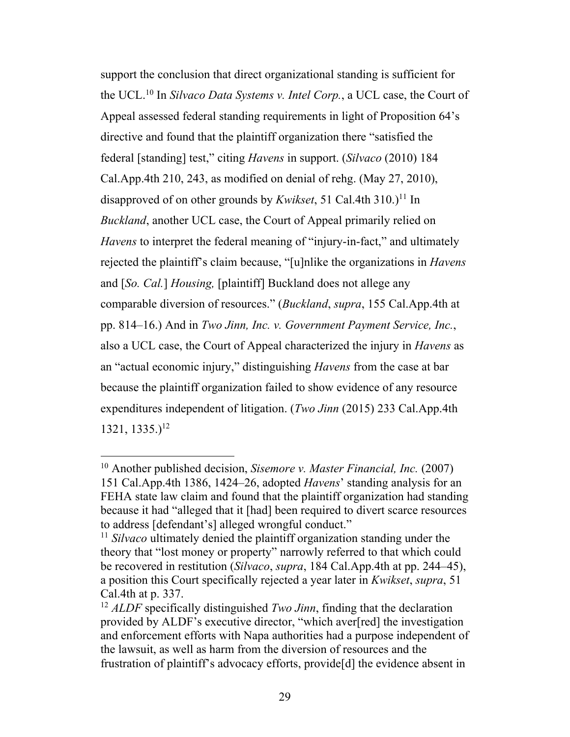support the conclusion that direct organizational standing is sufficient for the UCL.10 In *Silvaco Data Systems v. Intel Corp.*, a UCL case, the Court of Appeal assessed federal standing requirements in light of Proposition 64's directive and found that the plaintiff organization there "satisfied the federal [standing] test," citing *Havens* in support. (*Silvaco* (2010) 184 Cal.App.4th 210, 243, as modified on denial of rehg. (May 27, 2010), disapproved of on other grounds by *Kwikset*, 51 Cal.4th 310.)<sup>11</sup> In *Buckland*, another UCL case, the Court of Appeal primarily relied on *Havens* to interpret the federal meaning of "injury-in-fact," and ultimately rejected the plaintiff's claim because, "[u]nlike the organizations in *Havens* and [*So. Cal.*] *Housing,* [plaintiff] Buckland does not allege any comparable diversion of resources." (*Buckland*, *supra*, 155 Cal.App.4th at pp. 814–16.) And in *Two Jinn, Inc. v. Government Payment Service, Inc.*, also a UCL case, the Court of Appeal characterized the injury in *Havens* as an "actual economic injury," distinguishing *Havens* from the case at bar because the plaintiff organization failed to show evidence of any resource expenditures independent of litigation. (*Two Jinn* (2015) 233 Cal.App.4th  $1321, 1335.$ <sup>12</sup>

<sup>10</sup> Another published decision, *Sisemore v. Master Financial, Inc.* (2007) 151 Cal.App.4th 1386, 1424–26, adopted *Havens*' standing analysis for an FEHA state law claim and found that the plaintiff organization had standing because it had "alleged that it [had] been required to divert scarce resources to address [defendant's] alleged wrongful conduct."

<sup>&</sup>lt;sup>11</sup> *Silvaco* ultimately denied the plaintiff organization standing under the theory that "lost money or property" narrowly referred to that which could be recovered in restitution (*Silvaco*, *supra*, 184 Cal.App.4th at pp. 244–45), a position this Court specifically rejected a year later in *Kwikset*, *supra*, 51 Cal.4th at p. 337.

<sup>12</sup> *ALDF* specifically distinguished *Two Jinn*, finding that the declaration provided by ALDF's executive director, "which aver[red] the investigation and enforcement efforts with Napa authorities had a purpose independent of the lawsuit, as well as harm from the diversion of resources and the frustration of plaintiff's advocacy efforts, provide[d] the evidence absent in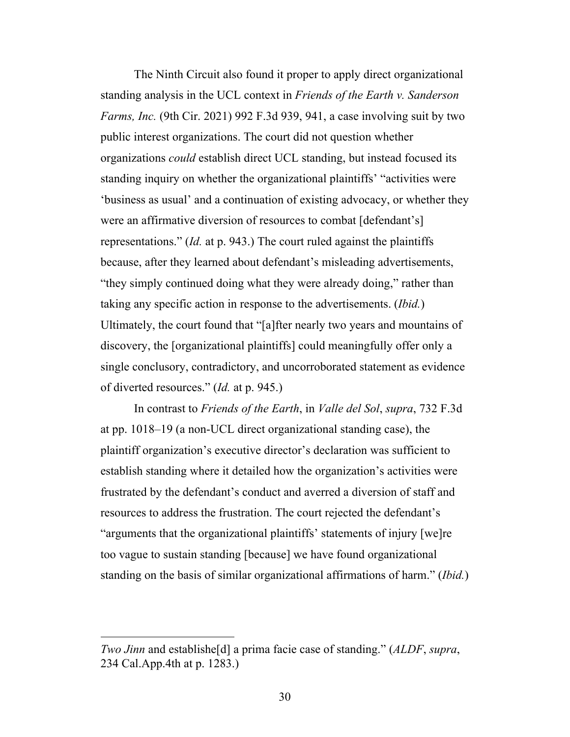The Ninth Circuit also found it proper to apply direct organizational standing analysis in the UCL context in *Friends of the Earth v. Sanderson Farms, Inc.* (9th Cir. 2021) 992 F.3d 939, 941, a case involving suit by two public interest organizations. The court did not question whether organizations *could* establish direct UCL standing, but instead focused its standing inquiry on whether the organizational plaintiffs' "activities were 'business as usual' and a continuation of existing advocacy, or whether they were an affirmative diversion of resources to combat [defendant's] representations." (*Id.* at p. 943.) The court ruled against the plaintiffs because, after they learned about defendant's misleading advertisements, "they simply continued doing what they were already doing," rather than taking any specific action in response to the advertisements. (*Ibid.*) Ultimately, the court found that "[a]fter nearly two years and mountains of discovery, the [organizational plaintiffs] could meaningfully offer only a single conclusory, contradictory, and uncorroborated statement as evidence of diverted resources." (*Id.* at p. 945.)

In contrast to *Friends of the Earth*, in *Valle del Sol*, *supra*, 732 F.3d at pp. 1018–19 (a non-UCL direct organizational standing case), the plaintiff organization's executive director's declaration was sufficient to establish standing where it detailed how the organization's activities were frustrated by the defendant's conduct and averred a diversion of staff and resources to address the frustration. The court rejected the defendant's "arguments that the organizational plaintiffs' statements of injury [we]re too vague to sustain standing [because] we have found organizational standing on the basis of similar organizational affirmations of harm." (*Ibid.*)

*Two Jinn* and establishe[d] a prima facie case of standing." (*ALDF*, *supra*, 234 Cal.App.4th at p. 1283.)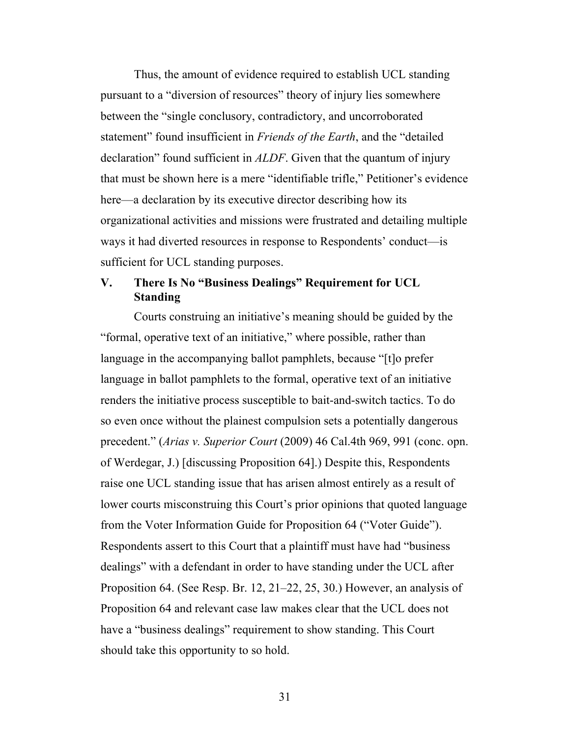Thus, the amount of evidence required to establish UCL standing pursuant to a "diversion of resources" theory of injury lies somewhere between the "single conclusory, contradictory, and uncorroborated statement" found insufficient in *Friends of the Earth*, and the "detailed declaration" found sufficient in *ALDF*. Given that the quantum of injury that must be shown here is a mere "identifiable trifle," Petitioner's evidence here—a declaration by its executive director describing how its organizational activities and missions were frustrated and detailing multiple ways it had diverted resources in response to Respondents' conduct—is sufficient for UCL standing purposes.

### **V. There Is No "Business Dealings" Requirement for UCL Standing**

Courts construing an initiative's meaning should be guided by the "formal, operative text of an initiative," where possible, rather than language in the accompanying ballot pamphlets, because "[t]o prefer language in ballot pamphlets to the formal, operative text of an initiative renders the initiative process susceptible to bait-and-switch tactics. To do so even once without the plainest compulsion sets a potentially dangerous precedent." (*Arias v. Superior Court* (2009) 46 Cal.4th 969, 991 (conc. opn. of Werdegar, J.) [discussing Proposition 64].) Despite this, Respondents raise one UCL standing issue that has arisen almost entirely as a result of lower courts misconstruing this Court's prior opinions that quoted language from the Voter Information Guide for Proposition 64 ("Voter Guide"). Respondents assert to this Court that a plaintiff must have had "business dealings" with a defendant in order to have standing under the UCL after Proposition 64. (See Resp. Br. 12, 21–22, 25, 30.) However, an analysis of Proposition 64 and relevant case law makes clear that the UCL does not have a "business dealings" requirement to show standing. This Court should take this opportunity to so hold.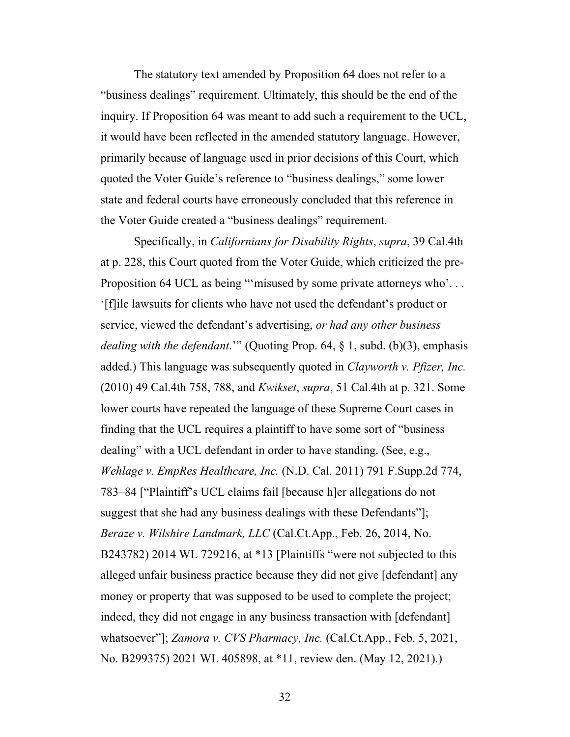The statutory text amended by Proposition 64 does not refer to a "business dealings" requirement. Ultimately, this should be the end of the inquiry. If Proposition 64 was meant to add such a requirement to the UCL, it would have been reflected in the amended statutory language. However, primarily because of language used in prior decisions of this Court, which quoted the Voter Guide's reference to "business dealings," some lower state and federal courts have erroneously concluded that this reference in the Voter Guide created a "business dealings" requirement.

Specifically, in *Californians for Disability Rights*, *supra*, 39 Cal.4th at p. 228, this Court quoted from the Voter Guide, which criticized the pre-Proposition 64 UCL as being ""misused by some private attorneys who'... '[f]ile lawsuits for clients who have not used the defendant's product or service, viewed the defendant's advertising, *or had any other business dealing with the defendant*.'" (Quoting Prop. 64, § 1, subd. (b)(3), emphasis added.) This language was subsequently quoted in *Clayworth v. Pfizer, Inc.* (2010) 49 Cal.4th 758, 788, and *Kwikset*, *supra*, 51 Cal.4th at p. 321. Some lower courts have repeated the language of these Supreme Court cases in finding that the UCL requires a plaintiff to have some sort of "business dealing" with a UCL defendant in order to have standing. (See, e.g., *Wehlage v. EmpRes Healthcare, Inc.* (N.D. Cal. 2011) 791 F.Supp.2d 774, 783–84 ["Plaintiff's UCL claims fail [because h]er allegations do not suggest that she had any business dealings with these Defendants"]; *Beraze v. Wilshire Landmark, LLC* (Cal.Ct.App., Feb. 26, 2014, No. B243782) 2014 WL 729216, at \*13 [Plaintiffs "were not subjected to this alleged unfair business practice because they did not give [defendant] any money or property that was supposed to be used to complete the project; indeed, they did not engage in any business transaction with [defendant] whatsoever"]; *Zamora v. CVS Pharmacy, Inc.* (Cal.Ct.App., Feb. 5, 2021, No. B299375) 2021 WL 405898, at \*11, review den. (May 12, 2021).)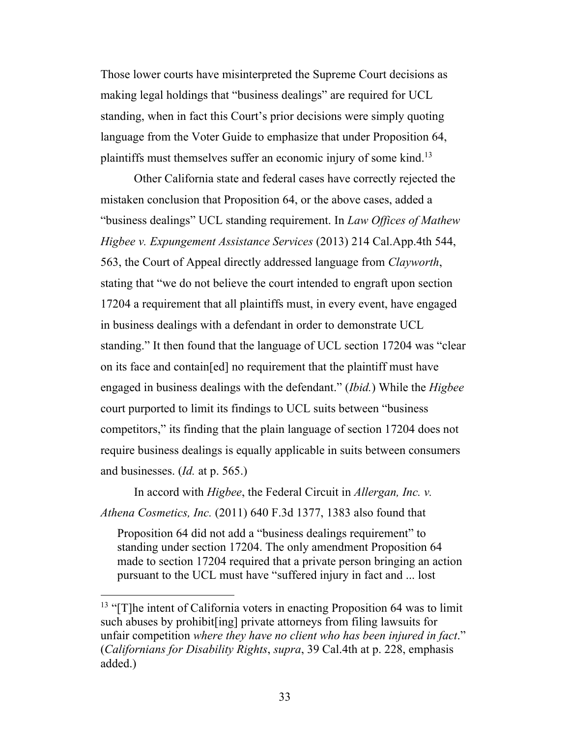Those lower courts have misinterpreted the Supreme Court decisions as making legal holdings that "business dealings" are required for UCL standing, when in fact this Court's prior decisions were simply quoting language from the Voter Guide to emphasize that under Proposition 64, plaintiffs must themselves suffer an economic injury of some kind.<sup>13</sup>

Other California state and federal cases have correctly rejected the mistaken conclusion that Proposition 64, or the above cases, added a "business dealings" UCL standing requirement. In *Law Offices of Mathew Higbee v. Expungement Assistance Services* (2013) 214 Cal.App.4th 544, 563, the Court of Appeal directly addressed language from *Clayworth*, stating that "we do not believe the court intended to engraft upon section 17204 a requirement that all plaintiffs must, in every event, have engaged in business dealings with a defendant in order to demonstrate UCL standing." It then found that the language of UCL section 17204 was "clear on its face and contain[ed] no requirement that the plaintiff must have engaged in business dealings with the defendant." (*Ibid.*) While the *Higbee* court purported to limit its findings to UCL suits between "business competitors," its finding that the plain language of section 17204 does not require business dealings is equally applicable in suits between consumers and businesses. (*Id.* at p. 565.)

In accord with *Higbee*, the Federal Circuit in *Allergan, Inc. v. Athena Cosmetics, Inc.* (2011) 640 F.3d 1377, 1383 also found that

Proposition 64 did not add a "business dealings requirement" to standing under section 17204. The only amendment Proposition 64 made to section 17204 required that a private person bringing an action pursuant to the UCL must have "suffered injury in fact and ... lost

<sup>&</sup>lt;sup>13</sup> "[T]he intent of California voters in enacting Proposition 64 was to limit such abuses by prohibit[ing] private attorneys from filing lawsuits for unfair competition *where they have no client who has been injured in fact*." (*Californians for Disability Rights*, *supra*, 39 Cal.4th at p. 228, emphasis added.)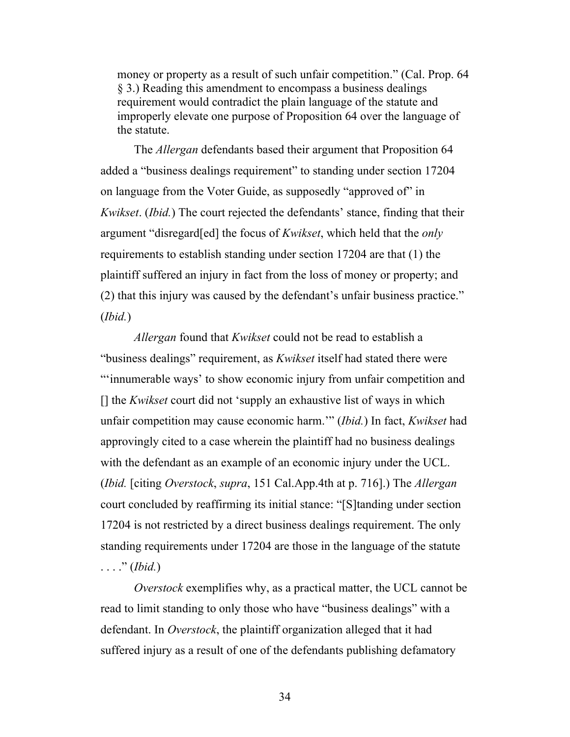money or property as a result of such unfair competition." (Cal. Prop. 64 § 3.) Reading this amendment to encompass a business dealings requirement would contradict the plain language of the statute and improperly elevate one purpose of Proposition 64 over the language of the statute.

The *Allergan* defendants based their argument that Proposition 64 added a "business dealings requirement" to standing under section 17204 on language from the Voter Guide, as supposedly "approved of" in *Kwikset*. (*Ibid.*) The court rejected the defendants' stance, finding that their argument "disregard[ed] the focus of *Kwikset*, which held that the *only* requirements to establish standing under section 17204 are that (1) the plaintiff suffered an injury in fact from the loss of money or property; and (2) that this injury was caused by the defendant's unfair business practice." (*Ibid.*)

*Allergan* found that *Kwikset* could not be read to establish a "business dealings" requirement, as *Kwikset* itself had stated there were "'innumerable ways' to show economic injury from unfair competition and [] the *Kwikset* court did not 'supply an exhaustive list of ways in which unfair competition may cause economic harm.'" (*Ibid.*) In fact, *Kwikset* had approvingly cited to a case wherein the plaintiff had no business dealings with the defendant as an example of an economic injury under the UCL. (*Ibid.* [citing *Overstock*, *supra*, 151 Cal.App.4th at p. 716].) The *Allergan* court concluded by reaffirming its initial stance: "[S]tanding under section 17204 is not restricted by a direct business dealings requirement. The only standing requirements under 17204 are those in the language of the statute . . . ." (*Ibid.*)

*Overstock* exemplifies why, as a practical matter, the UCL cannot be read to limit standing to only those who have "business dealings" with a defendant. In *Overstock*, the plaintiff organization alleged that it had suffered injury as a result of one of the defendants publishing defamatory

34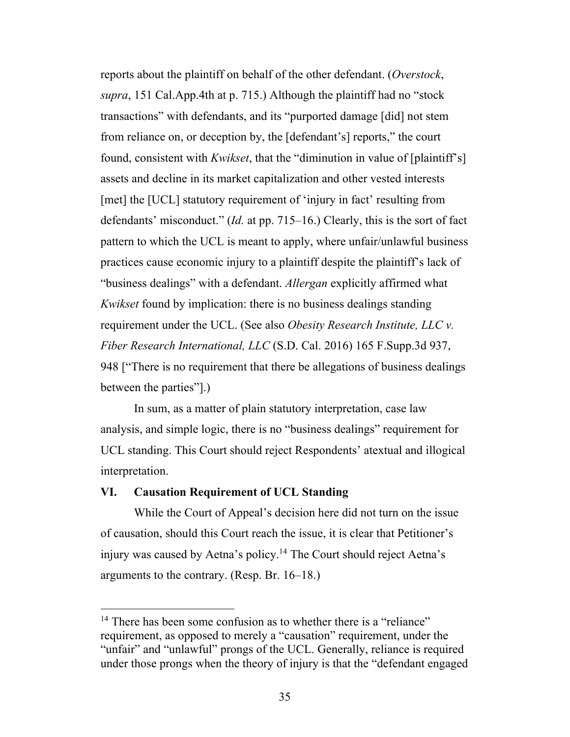reports about the plaintiff on behalf of the other defendant. (*Overstock*, *supra*, 151 Cal.App.4th at p. 715.) Although the plaintiff had no "stock transactions" with defendants, and its "purported damage [did] not stem from reliance on, or deception by, the [defendant's] reports," the court found, consistent with *Kwikset*, that the "diminution in value of [plaintiff's] assets and decline in its market capitalization and other vested interests [met] the [UCL] statutory requirement of 'injury in fact' resulting from defendants' misconduct." (*Id.* at pp. 715–16.) Clearly, this is the sort of fact pattern to which the UCL is meant to apply, where unfair/unlawful business practices cause economic injury to a plaintiff despite the plaintiff's lack of "business dealings" with a defendant. *Allergan* explicitly affirmed what *Kwikset* found by implication: there is no business dealings standing requirement under the UCL. (See also *Obesity Research Institute, LLC v. Fiber Research International, LLC* (S.D. Cal. 2016) 165 F.Supp.3d 937, 948 ["There is no requirement that there be allegations of business dealings between the parties"].)

In sum, as a matter of plain statutory interpretation, case law analysis, and simple logic, there is no "business dealings" requirement for UCL standing. This Court should reject Respondents' atextual and illogical interpretation.

#### **VI. Causation Requirement of UCL Standing**

While the Court of Appeal's decision here did not turn on the issue of causation, should this Court reach the issue, it is clear that Petitioner's injury was caused by Aetna's policy.<sup>14</sup> The Court should reject Aetna's arguments to the contrary. (Resp. Br. 16–18.)

<sup>&</sup>lt;sup>14</sup> There has been some confusion as to whether there is a "reliance" requirement, as opposed to merely a "causation" requirement, under the "unfair" and "unlawful" prongs of the UCL. Generally, reliance is required under those prongs when the theory of injury is that the "defendant engaged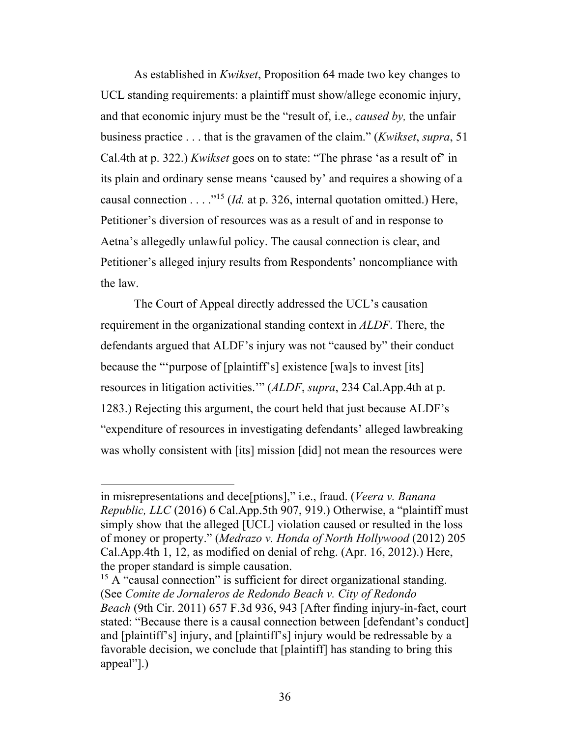As established in *Kwikset*, Proposition 64 made two key changes to UCL standing requirements: a plaintiff must show/allege economic injury, and that economic injury must be the "result of, i.e., *caused by,* the unfair business practice . . . that is the gravamen of the claim." (*Kwikset*, *supra*, 51 Cal.4th at p. 322.) *Kwikset* goes on to state: "The phrase 'as a result of' in its plain and ordinary sense means 'caused by' and requires a showing of a causal connection . . . ."15 (*Id.* at p. 326, internal quotation omitted.) Here, Petitioner's diversion of resources was as a result of and in response to Aetna's allegedly unlawful policy. The causal connection is clear, and Petitioner's alleged injury results from Respondents' noncompliance with the law.

The Court of Appeal directly addressed the UCL's causation requirement in the organizational standing context in *ALDF*. There, the defendants argued that ALDF's injury was not "caused by" their conduct because the "'purpose of [plaintiff's] existence [wa]s to invest [its] resources in litigation activities.'" (*ALDF*, *supra*, 234 Cal.App.4th at p. 1283.) Rejecting this argument, the court held that just because ALDF's "expenditure of resources in investigating defendants' alleged lawbreaking was wholly consistent with [its] mission [did] not mean the resources were

in misrepresentations and dece[ptions]," i.e., fraud. (*Veera v. Banana Republic, LLC* (2016) 6 Cal.App.5th 907, 919.) Otherwise, a "plaintiff must simply show that the alleged [UCL] violation caused or resulted in the loss of money or property." (*Medrazo v. Honda of North Hollywood* (2012) 205 Cal.App.4th 1, 12, as modified on denial of rehg. (Apr. 16, 2012).) Here, the proper standard is simple causation.

 $15$  A "causal connection" is sufficient for direct organizational standing. (See *Comite de Jornaleros de Redondo Beach v. City of Redondo Beach* (9th Cir. 2011) 657 F.3d 936, 943 [After finding injury-in-fact, court stated: "Because there is a causal connection between [defendant's conduct] and [plaintiff's] injury, and [plaintiff's] injury would be redressable by a favorable decision, we conclude that [plaintiff] has standing to bring this appeal"].)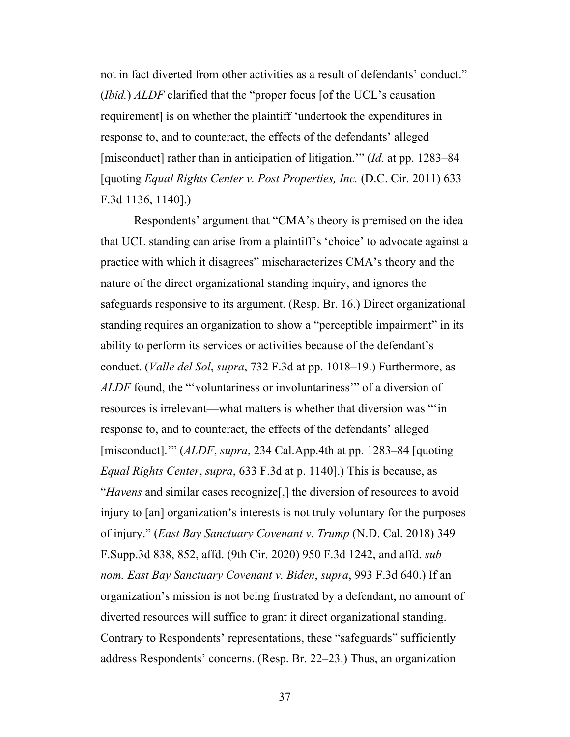not in fact diverted from other activities as a result of defendants' conduct." (*Ibid.*) *ALDF* clarified that the "proper focus [of the UCL's causation requirement] is on whether the plaintiff 'undertook the expenditures in response to, and to counteract, the effects of the defendants' alleged [misconduct] rather than in anticipation of litigation.'" (*Id.* at pp. 1283–84 [quoting *Equal Rights Center v. Post Properties, Inc.* (D.C. Cir. 2011) 633 F.3d 1136, 1140].)

Respondents' argument that "CMA's theory is premised on the idea that UCL standing can arise from a plaintiff's 'choice' to advocate against a practice with which it disagrees" mischaracterizes CMA's theory and the nature of the direct organizational standing inquiry, and ignores the safeguards responsive to its argument. (Resp. Br. 16.) Direct organizational standing requires an organization to show a "perceptible impairment" in its ability to perform its services or activities because of the defendant's conduct. (*Valle del Sol*, *supra*, 732 F.3d at pp. 1018–19.) Furthermore, as *ALDF* found, the "'voluntariness or involuntariness'" of a diversion of resources is irrelevant—what matters is whether that diversion was "'in response to, and to counteract, the effects of the defendants' alleged [misconduct].'" (*ALDF*, *supra*, 234 Cal.App.4th at pp. 1283–84 [quoting *Equal Rights Center*, *supra*, 633 F.3d at p. 1140].) This is because, as "*Havens* and similar cases recognize[,] the diversion of resources to avoid injury to [an] organization's interests is not truly voluntary for the purposes of injury." (*East Bay Sanctuary Covenant v. Trump* (N.D. Cal. 2018) 349 F.Supp.3d 838, 852, affd. (9th Cir. 2020) 950 F.3d 1242, and affd. *sub nom. East Bay Sanctuary Covenant v. Biden*, *supra*, 993 F.3d 640.) If an organization's mission is not being frustrated by a defendant, no amount of diverted resources will suffice to grant it direct organizational standing. Contrary to Respondents' representations, these "safeguards" sufficiently address Respondents' concerns. (Resp. Br. 22–23.) Thus, an organization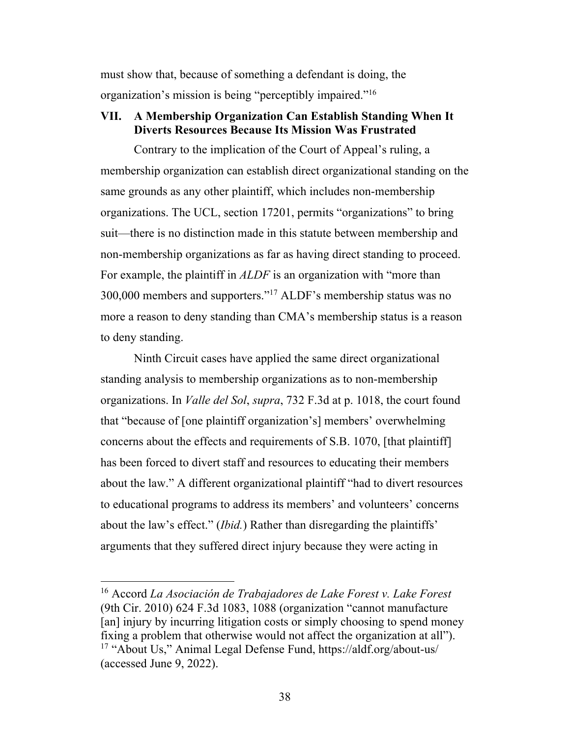must show that, because of something a defendant is doing, the organization's mission is being "perceptibly impaired."16

### **VII. A Membership Organization Can Establish Standing When It Diverts Resources Because Its Mission Was Frustrated**

Contrary to the implication of the Court of Appeal's ruling, a membership organization can establish direct organizational standing on the same grounds as any other plaintiff, which includes non-membership organizations. The UCL, section 17201, permits "organizations" to bring suit—there is no distinction made in this statute between membership and non-membership organizations as far as having direct standing to proceed. For example, the plaintiff in *ALDF* is an organization with "more than 300,000 members and supporters."17 ALDF's membership status was no more a reason to deny standing than CMA's membership status is a reason to deny standing.

Ninth Circuit cases have applied the same direct organizational standing analysis to membership organizations as to non-membership organizations. In *Valle del Sol*, *supra*, 732 F.3d at p. 1018, the court found that "because of [one plaintiff organization's] members' overwhelming concerns about the effects and requirements of S.B. 1070, [that plaintiff] has been forced to divert staff and resources to educating their members about the law." A different organizational plaintiff "had to divert resources to educational programs to address its members' and volunteers' concerns about the law's effect." (*Ibid.*) Rather than disregarding the plaintiffs' arguments that they suffered direct injury because they were acting in

<sup>16</sup> Accord *La Asociación de Trabajadores de Lake Forest v. Lake Forest* (9th Cir. 2010) 624 F.3d 1083, 1088 (organization "cannot manufacture [an] injury by incurring litigation costs or simply choosing to spend money fixing a problem that otherwise would not affect the organization at all"). <sup>17</sup> "About Us," Animal Legal Defense Fund, https://aldf.org/about-us/ (accessed June 9, 2022).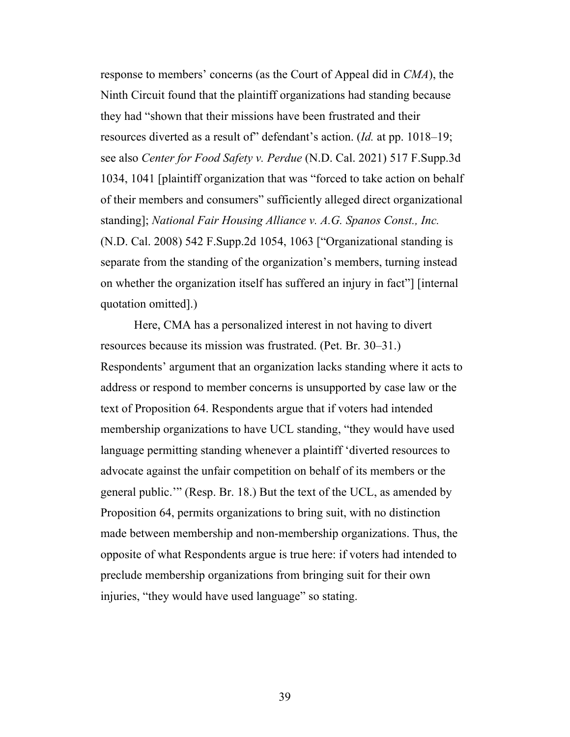response to members' concerns (as the Court of Appeal did in *CMA*), the Ninth Circuit found that the plaintiff organizations had standing because they had "shown that their missions have been frustrated and their resources diverted as a result of" defendant's action. (*Id.* at pp. 1018–19; see also *Center for Food Safety v. Perdue* (N.D. Cal. 2021) 517 F.Supp.3d 1034, 1041 [plaintiff organization that was "forced to take action on behalf of their members and consumers" sufficiently alleged direct organizational standing]; *National Fair Housing Alliance v. A.G. Spanos Const., Inc.* (N.D. Cal. 2008) 542 F.Supp.2d 1054, 1063 ["Organizational standing is separate from the standing of the organization's members, turning instead on whether the organization itself has suffered an injury in fact"] [internal quotation omitted].)

Here, CMA has a personalized interest in not having to divert resources because its mission was frustrated. (Pet. Br. 30–31.) Respondents' argument that an organization lacks standing where it acts to address or respond to member concerns is unsupported by case law or the text of Proposition 64. Respondents argue that if voters had intended membership organizations to have UCL standing, "they would have used language permitting standing whenever a plaintiff 'diverted resources to advocate against the unfair competition on behalf of its members or the general public.'" (Resp. Br. 18.) But the text of the UCL, as amended by Proposition 64, permits organizations to bring suit, with no distinction made between membership and non-membership organizations. Thus, the opposite of what Respondents argue is true here: if voters had intended to preclude membership organizations from bringing suit for their own injuries, "they would have used language" so stating.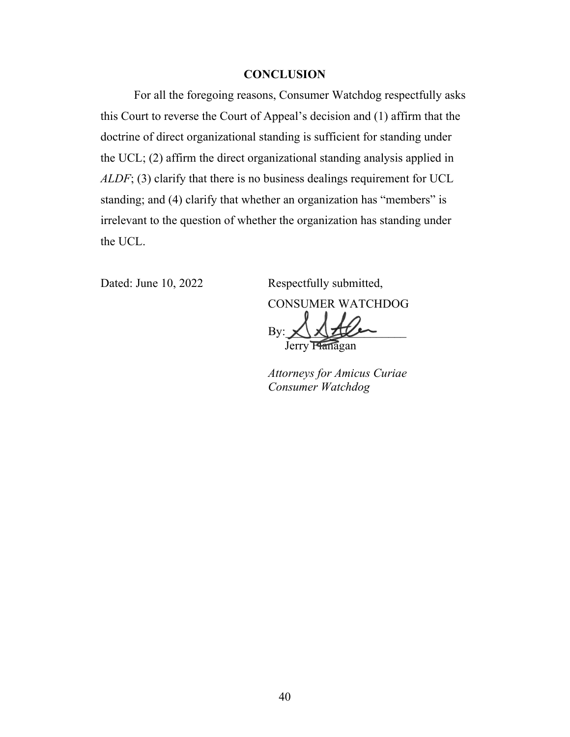#### **CONCLUSION**

For all the foregoing reasons, Consumer Watchdog respectfully asks this Court to reverse the Court of Appeal's decision and (1) affirm that the doctrine of direct organizational standing is sufficient for standing under the UCL; (2) affirm the direct organizational standing analysis applied in *ALDF*; (3) clarify that there is no business dealings requirement for UCL standing; and (4) clarify that whether an organization has "members" is irrelevant to the question of whether the organization has standing under the UCL.

Dated: June 10, 2022 Respectfully submitted, CONSUMER WATCHDOG

 $By:$ Jerry Flanagan

*Attorneys for Amicus Curiae Consumer Watchdog*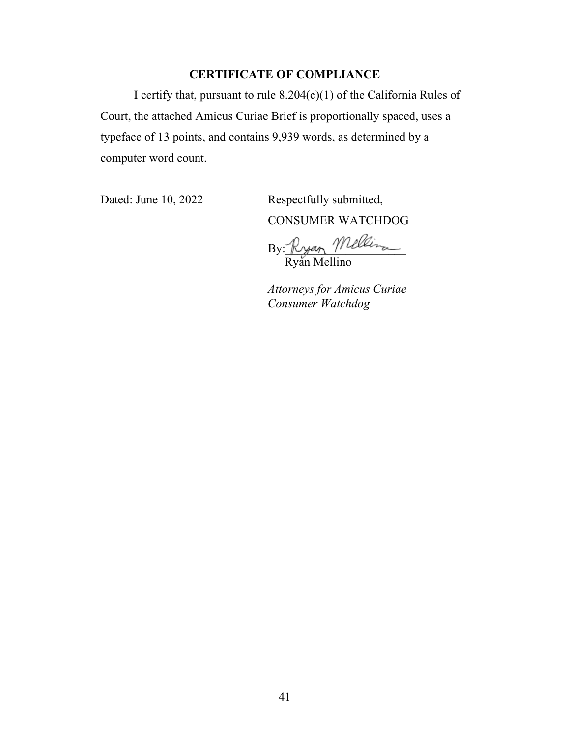### **CERTIFICATE OF COMPLIANCE**

I certify that, pursuant to rule 8.204(c)(1) of the California Rules of Court, the attached Amicus Curiae Brief is proportionally spaced, uses a typeface of 13 points, and contains 9,939 words, as determined by a computer word count.

Dated: June 10, 2022 Respectfully submitted, CONSUMER WATCHDOG

By: Kyan William Ryan Mellino

*Attorneys for Amicus Curiae Consumer Watchdog*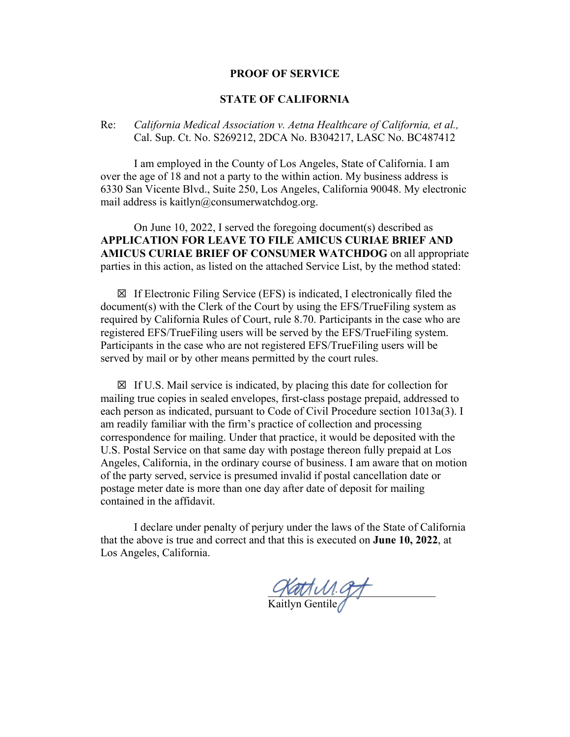#### **PROOF OF SERVICE**

#### **STATE OF CALIFORNIA**

#### Re: *California Medical Association v. Aetna Healthcare of California, et al.,*  Cal. Sup. Ct. No. S269212, 2DCA No. B304217, LASC No. BC487412

I am employed in the County of Los Angeles, State of California. I am over the age of 18 and not a party to the within action. My business address is 6330 San Vicente Blvd., Suite 250, Los Angeles, California 90048. My electronic mail address is kaitlyn@consumerwatchdog.org.

On June 10, 2022, I served the foregoing document(s) described as **APPLICATION FOR LEAVE TO FILE AMICUS CURIAE BRIEF AND AMICUS CURIAE BRIEF OF CONSUMER WATCHDOG** on all appropriate parties in this action, as listed on the attached Service List, by the method stated:

 $\boxtimes$  If Electronic Filing Service (EFS) is indicated, I electronically filed the document(s) with the Clerk of the Court by using the EFS/TrueFiling system as required by California Rules of Court, rule 8.70. Participants in the case who are registered EFS/TrueFiling users will be served by the EFS/TrueFiling system. Participants in the case who are not registered EFS/TrueFiling users will be served by mail or by other means permitted by the court rules.

☒ If U.S. Mail service is indicated, by placing this date for collection for mailing true copies in sealed envelopes, first-class postage prepaid, addressed to each person as indicated, pursuant to Code of Civil Procedure section 1013a(3). I am readily familiar with the firm's practice of collection and processing correspondence for mailing. Under that practice, it would be deposited with the U.S. Postal Service on that same day with postage thereon fully prepaid at Los Angeles, California, in the ordinary course of business. I am aware that on motion of the party served, service is presumed invalid if postal cancellation date or postage meter date is more than one day after date of deposit for mailing contained in the affidavit.

I declare under penalty of perjury under the laws of the State of California that the above is true and correct and that this is executed on **June 10, 2022**, at Los Angeles, California.

 $P$ 

Kaitlyn Gentile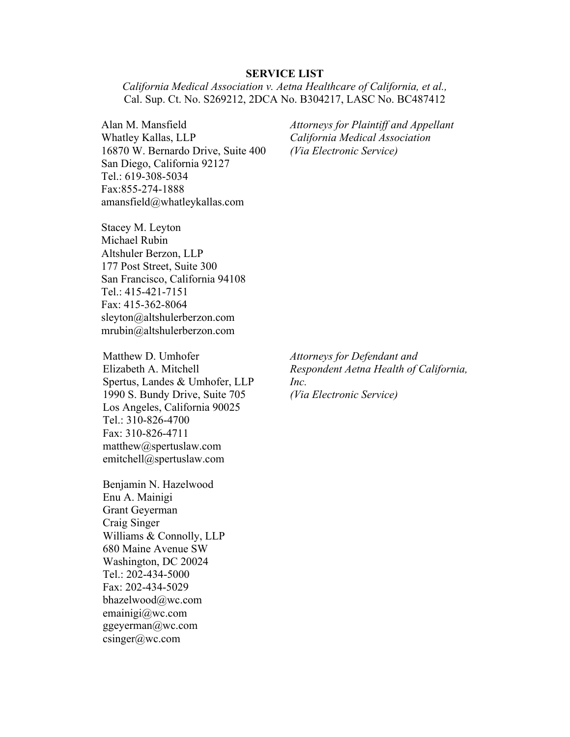#### **SERVICE LIST**

*California Medical Association v. Aetna Healthcare of California, et al.,*  Cal. Sup. Ct. No. S269212, 2DCA No. B304217, LASC No. BC487412

Alan M. Mansfield Whatley Kallas, LLP 16870 W. Bernardo Drive, Suite 400 San Diego, California 92127 Tel.: 619-308-5034 Fax:855-274-1888 amansfield@whatleykallas.com

*Attorneys for Plaintiff and Appellant California Medical Association (Via Electronic Service)*

Stacey M. Leyton Michael Rubin Altshuler Berzon, LLP 177 Post Street, Suite 300 San Francisco, California 94108 Tel.: 415-421-7151 Fax: 415-362-8064 sleyton@altshulerberzon.com mrubin@altshulerberzon.com

Matthew D. Umhofer Elizabeth A. Mitchell Spertus, Landes & Umhofer, LLP 1990 S. Bundy Drive, Suite 705 Los Angeles, California 90025 Tel.: 310-826-4700 Fax: 310-826-4711 matthew@spertuslaw.com emitchell@spertuslaw.com

Benjamin N. Hazelwood Enu A. Mainigi Grant Geyerman Craig Singer Williams & Connolly, LLP 680 Maine Avenue SW Washington, DC 20024 Tel.: 202-434-5000 Fax: 202-434-5029 bhazelwood@wc.com emainigi@wc.com ggeyerman@wc.com csinger@wc.com

*Attorneys for Defendant and Respondent Aetna Health of California, Inc. (Via Electronic Service)*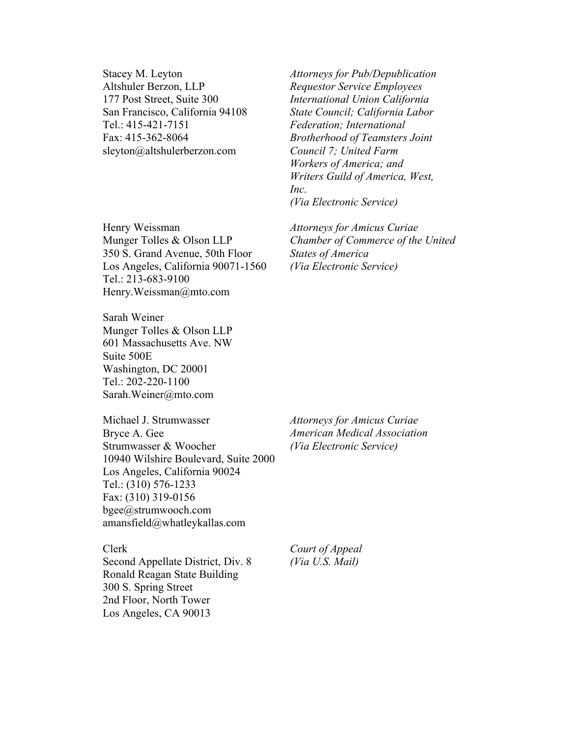Stacey M. Leyton Altshuler Berzon, LLP 177 Post Street, Suite 300 San Francisco, California 94108 Tel.: 415-421-7151 Fax: 415-362-8064 sleyton@altshulerberzon.com

Henry Weissman Munger Tolles & Olson LLP 350 S. Grand Avenue, 50th Floor Los Angeles, California 90071-1560 Tel.: 213-683-9100 Henry.Weissman@mto.com

Sarah Weiner Munger Tolles & Olson LLP 601 Massachusetts Ave. NW Suite 500E Washington, DC 20001 Tel.: 202-220-1100 Sarah.Weiner@mto.com

Michael J. Strumwasser Bryce A. Gee Strumwasser & Woocher 10940 Wilshire Boulevard, Suite 2000 Los Angeles, California 90024 Tel.: (310) 576-1233 Fax: (310) 319-0156 bgee@strumwooch.com amansfield@whatleykallas.com

*Attorneys for Pub/Depublication Requestor Service Employees International Union California State Council; California Labor* 

*Brotherhood of Teamsters Joint* 

*Writers Guild of America, West,* 

*Federation; International* 

*Council 7; United Farm Workers of America; and* 

*(Via Electronic Service)* 

*(Via Electronic Service)*

*States of America* 

*Attorneys for Amicus Curiae* 

*Chamber of Commerce of the United* 

*Inc.* 

*Attorneys for Amicus Curiae American Medical Association (Via Electronic Service)* 

Clerk

Second Appellate District, Div. 8 Ronald Reagan State Building 300 S. Spring Street 2nd Floor, North Tower Los Angeles, CA 90013

*Court of Appeal (Via U.S. Mail)*